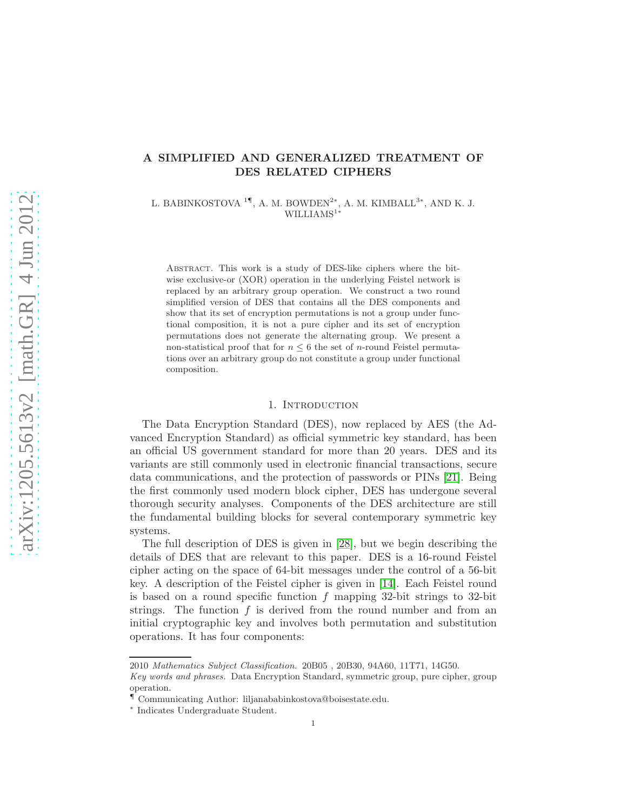# A SIMPLIFIED AND GENERALIZED TREATMENT OF DES RELATED CIPHERS

L. BABINKOSTOVA $^{1\P},$ A. M. BOWDEN<sup>2\*</sup>, A. M. KIMBALL<sup>3\*</sup>, AND K. J. WILLIAMS<sup>1∗</sup>

Abstract. This work is a study of DES-like ciphers where the bitwise exclusive-or (XOR) operation in the underlying Feistel network is replaced by an arbitrary group operation. We construct a two round simplified version of DES that contains all the DES components and show that its set of encryption permutations is not a group under functional composition, it is not a pure cipher and its set of encryption permutations does not generate the alternating group. We present a non-statistical proof that for  $n \leq 6$  the set of *n*-round Feistel permutations over an arbitrary group do not constitute a group under functional composition.

## 1. INTRODUCTION

The Data Encryption Standard (DES), now replaced by AES (the Advanced Encryption Standard) as official symmetric key standard, has been an official US government standard for more than 20 years. DES and its variants are still commonly used in electronic financial transactions, secure data communications, and the protection of passwords or PINs [\[21\]](#page-22-0). Being the first commonly used modern block cipher, DES has undergone several thorough security analyses. Components of the DES architecture are still the fundamental building blocks for several contemporary symmetric key systems.

The full description of DES is given in [\[28\]](#page-22-1), but we begin describing the details of DES that are relevant to this paper. DES is a 16-round Feistel cipher acting on the space of 64-bit messages under the control of a 56-bit key. A description of the Feistel cipher is given in [\[14\]](#page-21-0). Each Feistel round is based on a round specific function  $f$  mapping 32-bit strings to 32-bit strings. The function  $f$  is derived from the round number and from an initial cryptographic key and involves both permutation and substitution operations. It has four components:

<sup>2010</sup> Mathematics Subject Classification. 20B05 , 20B30, 94A60, 11T71, 14G50.

Key words and phrases. Data Encryption Standard, symmetric group, pure cipher, group operation.

<sup>¶</sup> Communicating Author: liljanababinkostova@boisestate.edu.

<sup>∗</sup> Indicates Undergraduate Student.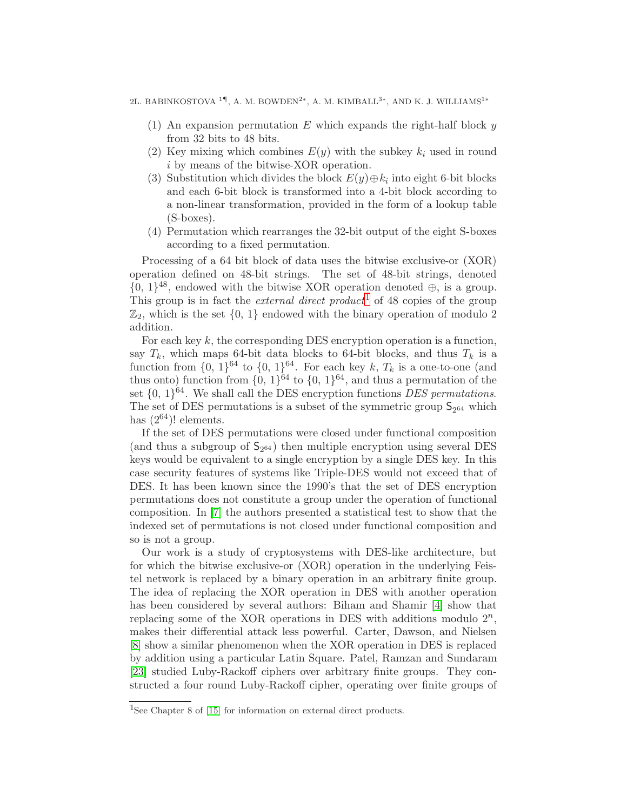2L. BABINKOSTOVA $^{1\P},$ A. M. BOWDEN<sup>2</sup>\*, A. M. KIMBALL<sup>3</sup>\*, AND K. J. WILLIAMS<sup>1</sup>\*

- (1) An expansion permutation E which expands the right-half block  $y$ from 32 bits to 48 bits.
- (2) Key mixing which combines  $E(y)$  with the subkey  $k_i$  used in round i by means of the bitwise-XOR operation.
- (3) Substitution which divides the block  $E(y) \oplus k_i$  into eight 6-bit blocks and each 6-bit block is transformed into a 4-bit block according to a non-linear transformation, provided in the form of a lookup table (S-boxes).
- (4) Permutation which rearranges the 32-bit output of the eight S-boxes according to a fixed permutation.

Processing of a 64 bit block of data uses the bitwise exclusive-or (XOR) operation defined on 48-bit strings. The set of 48-bit strings, denoted  $\{0, 1\}^{48}$ , endowed with the bitwise XOR operation denoted  $\oplus$ , is a group. This group is in fact the *external direct product*<sup>[1](#page-1-0)</sup> of 48 copies of the group  $\mathbb{Z}_2$ , which is the set  $\{0, 1\}$  endowed with the binary operation of modulo 2 addition.

For each key  $k$ , the corresponding DES encryption operation is a function, say  $T_k$ , which maps 64-bit data blocks to 64-bit blocks, and thus  $T_k$  is a function from  $\{0, 1\}^{64}$  to  $\{0, 1\}^{64}$ . For each key k,  $T_k$  is a one-to-one (and thus onto) function from  $\{0, 1\}^{64}$  to  $\{0, 1\}^{64}$ , and thus a permutation of the set  $\{0, 1\}^{64}$ . We shall call the DES encryption functions *DES permutations*. The set of DES permutations is a subset of the symmetric group  $\mathsf{S}_{2^{64}}$  which has  $(2^{64})!$  elements.

If the set of DES permutations were closed under functional composition (and thus a subgroup of  $S_{2^{64}}$ ) then multiple encryption using several DES keys would be equivalent to a single encryption by a single DES key. In this case security features of systems like Triple-DES would not exceed that of DES. It has been known since the 1990's that the set of DES encryption permutations does not constitute a group under the operation of functional composition. In [\[7\]](#page-21-1) the authors presented a statistical test to show that the indexed set of permutations is not closed under functional composition and so is not a group.

Our work is a study of cryptosystems with DES-like architecture, but for which the bitwise exclusive-or (XOR) operation in the underlying Feistel network is replaced by a binary operation in an arbitrary finite group. The idea of replacing the XOR operation in DES with another operation has been considered by several authors: Biham and Shamir [\[4\]](#page-21-2) show that replacing some of the XOR operations in DES with additions modulo  $2^n$ , makes their differential attack less powerful. Carter, Dawson, and Nielsen [\[8\]](#page-21-3) show a similar phenomenon when the XOR operation in DES is replaced by addition using a particular Latin Square. Patel, Ramzan and Sundaram [\[23\]](#page-22-2) studied Luby-Rackoff ciphers over arbitrary finite groups. They constructed a four round Luby-Rackoff cipher, operating over finite groups of

<span id="page-1-0"></span><sup>&</sup>lt;sup>1</sup>See Chapter 8 of [\[15\]](#page-21-4) for information on external direct products.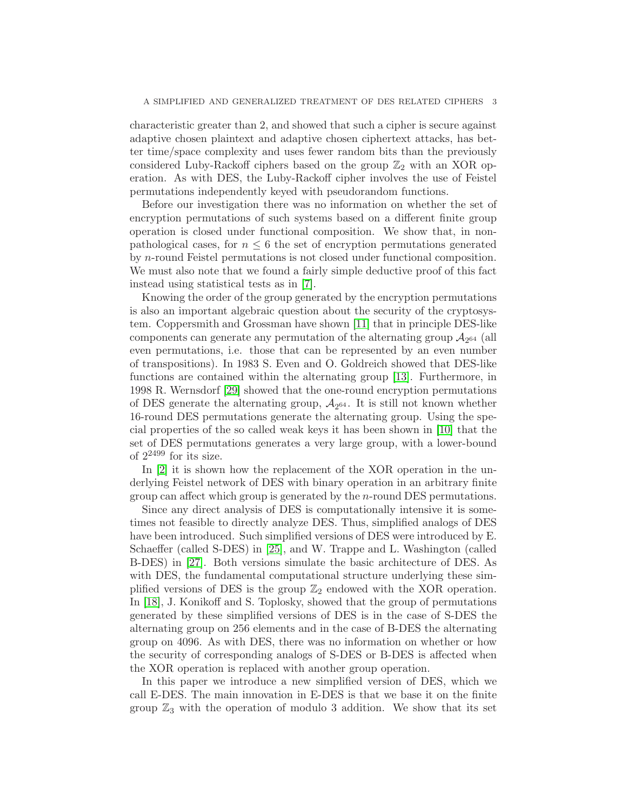characteristic greater than 2, and showed that such a cipher is secure against adaptive chosen plaintext and adaptive chosen ciphertext attacks, has better time/space complexity and uses fewer random bits than the previously considered Luby-Rackoff ciphers based on the group  $\mathbb{Z}_2$  with an XOR operation. As with DES, the Luby-Rackoff cipher involves the use of Feistel permutations independently keyed with pseudorandom functions.

Before our investigation there was no information on whether the set of encryption permutations of such systems based on a different finite group operation is closed under functional composition. We show that, in nonpathological cases, for  $n \leq 6$  the set of encryption permutations generated by n-round Feistel permutations is not closed under functional composition. We must also note that we found a fairly simple deductive proof of this fact instead using statistical tests as in [\[7\]](#page-21-1).

Knowing the order of the group generated by the encryption permutations is also an important algebraic question about the security of the cryptosystem. Coppersmith and Grossman have shown [\[11\]](#page-21-5) that in principle DES-like components can generate any permutation of the alternating group  $A_{2^{64}}$  (all even permutations, i.e. those that can be represented by an even number of transpositions). In 1983 S. Even and O. Goldreich showed that DES-like functions are contained within the alternating group [\[13\]](#page-21-6). Furthermore, in 1998 R. Wernsdorf [\[29\]](#page-22-3) showed that the one-round encryption permutations of DES generate the alternating group,  $A_{2^{64}}$ . It is still not known whether 16-round DES permutations generate the alternating group. Using the special properties of the so called weak keys it has been shown in [\[10\]](#page-21-7) that the set of DES permutations generates a very large group, with a lower-bound of 2<sup>2499</sup> for its size.

In [\[2\]](#page-21-8) it is shown how the replacement of the XOR operation in the underlying Feistel network of DES with binary operation in an arbitrary finite group can affect which group is generated by the n-round DES permutations.

Since any direct analysis of DES is computationally intensive it is sometimes not feasible to directly analyze DES. Thus, simplified analogs of DES have been introduced. Such simplified versions of DES were introduced by E. Schaeffer (called S-DES) in [\[25\]](#page-22-4), and W. Trappe and L. Washington (called B-DES) in [\[27\]](#page-22-5). Both versions simulate the basic architecture of DES. As with DES, the fundamental computational structure underlying these simplified versions of DES is the group  $\mathbb{Z}_2$  endowed with the XOR operation. In [\[18\]](#page-22-6), J. Konikoff and S. Toplosky, showed that the group of permutations generated by these simplified versions of DES is in the case of S-DES the alternating group on 256 elements and in the case of B-DES the alternating group on 4096. As with DES, there was no information on whether or how the security of corresponding analogs of S-DES or B-DES is affected when the XOR operation is replaced with another group operation.

In this paper we introduce a new simplified version of DES, which we call E-DES. The main innovation in E-DES is that we base it on the finite group  $\mathbb{Z}_3$  with the operation of modulo 3 addition. We show that its set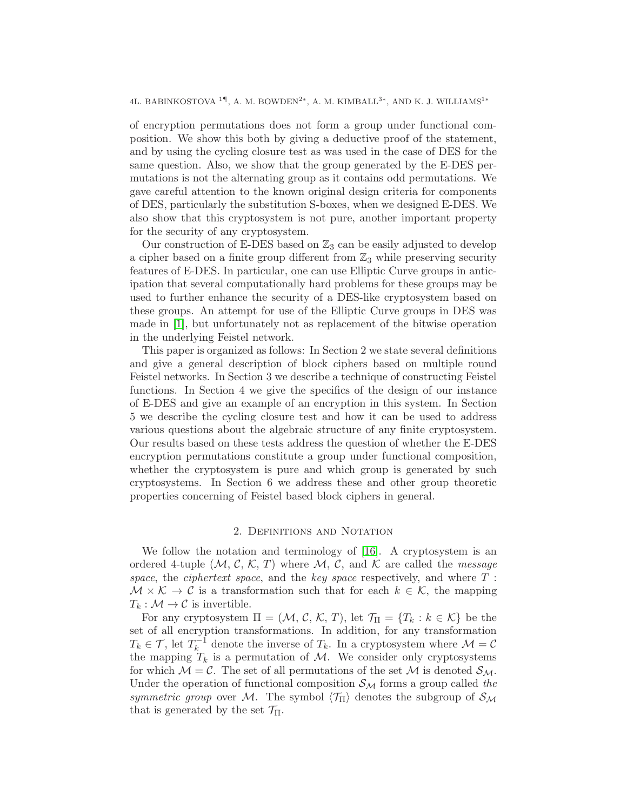4L. BABINKOSTOVA $^{1\P},$ A. M. BOWDEN<sup>2</sup>\*, A. M. KIMBALL<sup>3</sup>\*, AND K. J. WILLIAMS<sup>1</sup>\*

of encryption permutations does not form a group under functional composition. We show this both by giving a deductive proof of the statement, and by using the cycling closure test as was used in the case of DES for the same question. Also, we show that the group generated by the E-DES permutations is not the alternating group as it contains odd permutations. We gave careful attention to the known original design criteria for components of DES, particularly the substitution S-boxes, when we designed E-DES. We also show that this cryptosystem is not pure, another important property for the security of any cryptosystem.

Our construction of E-DES based on  $\mathbb{Z}_3$  can be easily adjusted to develop a cipher based on a finite group different from  $\mathbb{Z}_3$  while preserving security features of E-DES. In particular, one can use Elliptic Curve groups in anticipation that several computationally hard problems for these groups may be used to further enhance the security of a DES-like cryptosystem based on these groups. An attempt for use of the Elliptic Curve groups in DES was made in [\[1\]](#page-21-9), but unfortunately not as replacement of the bitwise operation in the underlying Feistel network.

This paper is organized as follows: In Section 2 we state several definitions and give a general description of block ciphers based on multiple round Feistel networks. In Section 3 we describe a technique of constructing Feistel functions. In Section 4 we give the specifics of the design of our instance of E-DES and give an example of an encryption in this system. In Section 5 we describe the cycling closure test and how it can be used to address various questions about the algebraic structure of any finite cryptosystem. Our results based on these tests address the question of whether the E-DES encryption permutations constitute a group under functional composition, whether the cryptosystem is pure and which group is generated by such cryptosystems. In Section 6 we address these and other group theoretic properties concerning of Feistel based block ciphers in general.

## 2. Definitions and Notation

We follow the notation and terminology of [\[16\]](#page-22-7). A cryptosystem is an ordered 4-tuple  $(M, \mathcal{C}, \mathcal{K}, T)$  where M, C, and K are called the *message* space, the *ciphertext space*, and the *key space* respectively, and where  $T$ :  $\mathcal{M} \times \mathcal{K} \to \mathcal{C}$  is a transformation such that for each  $k \in \mathcal{K}$ , the mapping  $T_k : \mathcal{M} \to \mathcal{C}$  is invertible.

For any cryptosystem  $\Pi = (\mathcal{M}, \mathcal{C}, \mathcal{K}, T)$ , let  $\mathcal{T}_{\Pi} = \{T_k : k \in \mathcal{K}\}\$  be the set of all encryption transformations. In addition, for any transformation  $T_k \in \mathcal{T}$ , let  $T_k^{-1}$  $k_k^{-1}$  denote the inverse of  $T_k$ . In a cryptosystem where  $\mathcal{M} = \mathcal{C}$ the mapping  $T_k$  is a permutation of M. We consider only cryptosystems for which  $\mathcal{M} = \mathcal{C}$ . The set of all permutations of the set  $\mathcal{M}$  is denoted  $\mathcal{S}_{\mathcal{M}}$ . Under the operation of functional composition  $S_{\mathcal{M}}$  forms a group called the symmetric group over M. The symbol  $\langle \mathcal{T}_{\Pi} \rangle$  denotes the subgroup of  $\mathcal{S}_{\mathcal{M}}$ that is generated by the set  $\mathcal{T}_{\Pi}$ .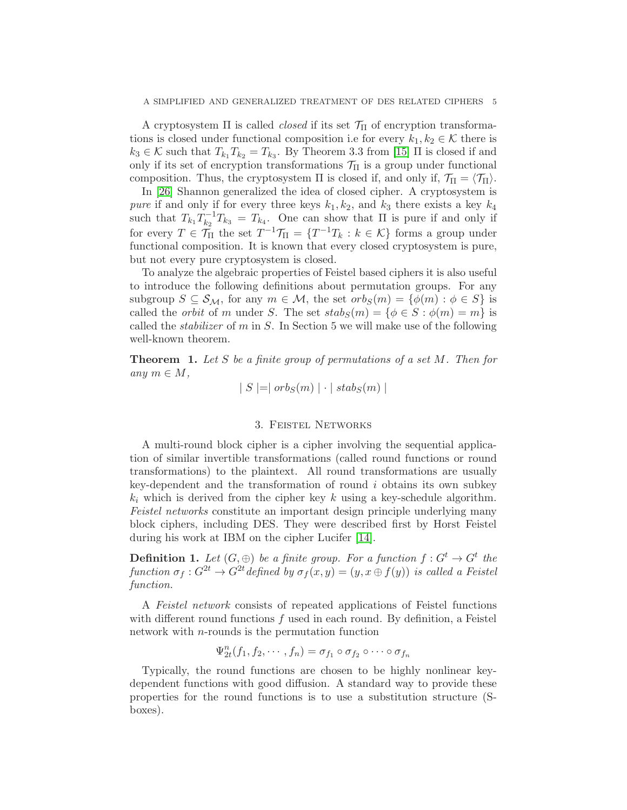A cryptosystem  $\Pi$  is called *closed* if its set  $\mathcal{T}_{\Pi}$  of encryption transformations is closed under functional composition i.e for every  $k_1, k_2 \in \mathcal{K}$  there is  $k_3 \in \mathcal{K}$  such that  $T_{k_1} T_{k_2} = T_{k_3}$ . By Theorem 3.3 from [\[15\]](#page-21-4)  $\Pi$  is closed if and only if its set of encryption transformations  $\mathcal{T}_{\Pi}$  is a group under functional composition. Thus, the cryptosystem  $\Pi$  is closed if, and only if,  $\mathcal{T}_{\Pi} = \langle \mathcal{T}_{\Pi} \rangle$ .

In [\[26\]](#page-22-8) Shannon generalized the idea of closed cipher. A cryptosystem is *pure* if and only if for every three keys  $k_1, k_2$ , and  $k_3$  there exists a key  $k_4$ such that  $T_{k_1}T_{k_2}^{-1}$  $\sum_{k_2}^{n-1} T_{k_3} = T_{k_4}$ . One can show that  $\Pi$  is pure if and only if for every  $T \in \mathcal{T}_{\Pi}$  the set  $T^{-1} \mathcal{T}_{\Pi} = \{T^{-1} T_k : k \in \mathcal{K}\}$  forms a group under functional composition. It is known that every closed cryptosystem is pure, but not every pure cryptosystem is closed.

To analyze the algebraic properties of Feistel based ciphers it is also useful to introduce the following definitions about permutation groups. For any subgroup  $S \subseteq S_{\mathcal{M}}$ , for any  $m \in \mathcal{M}$ , the set  $orb_S(m) = \{\phi(m) : \phi \in S\}$  is called the *orbit* of m under S. The set  $stab_S(m) = \{ \phi \in S : \phi(m) = m \}$  is called the *stabilizer* of  $m$  in  $S$ . In Section 5 we will make use of the following well-known theorem.

**Theorem 1.** Let S be a finite group of permutations of a set  $M$ . Then for any  $m \in M$ ,

$$
|S| = |orb_S(m)| \cdot |stab_S(m)|
$$

#### 3. Feistel Networks

A multi-round block cipher is a cipher involving the sequential application of similar invertible transformations (called round functions or round transformations) to the plaintext. All round transformations are usually key-dependent and the transformation of round  $i$  obtains its own subkey  $k_i$  which is derived from the cipher key k using a key-schedule algorithm. Feistel networks constitute an important design principle underlying many block ciphers, including DES. They were described first by Horst Feistel during his work at IBM on the cipher Lucifer [\[14\]](#page-21-0).

**Definition 1.** Let  $(G, \oplus)$  be a finite group. For a function  $f: G^t \to G^t$  the function  $\sigma_f : G^{2t} \to G^{2t}$  defined by  $\sigma_f(x, y) = (y, x \oplus f(y))$  is called a Feistel function.

A Feistel network consists of repeated applications of Feistel functions with different round functions  $f$  used in each round. By definition, a Feistel network with n-rounds is the permutation function

$$
\Psi_{2t}^{n}(f_1, f_2, \cdots, f_n) = \sigma_{f_1} \circ \sigma_{f_2} \circ \cdots \circ \sigma_{f_n}
$$

Typically, the round functions are chosen to be highly nonlinear keydependent functions with good diffusion. A standard way to provide these properties for the round functions is to use a substitution structure (Sboxes).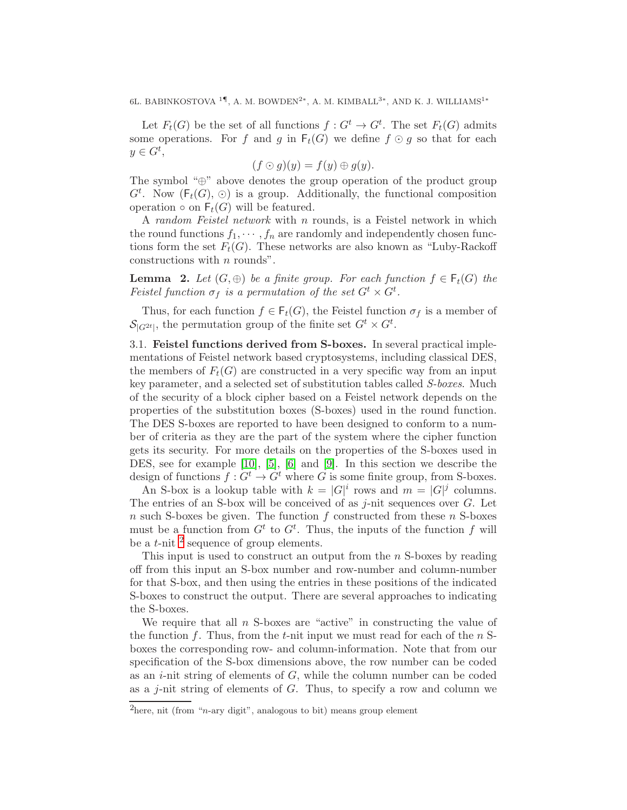6L. BABINKOSTOVA $^{1\P},$ A. M. BOWDEN<sup>2</sup>\*, A. M. KIMBALL<sup>3\*</sup>, AND K. J. WILLIAMS<sup>1\*</sup>

Let  $F_t(G)$  be the set of all functions  $f: G^t \to G^t$ . The set  $F_t(G)$  admits some operations. For f and g in  $F_t(G)$  we define  $f \odot g$  so that for each  $y \in G^t$ ,

$$
(f \odot g)(y) = f(y) \oplus g(y).
$$

The symbol "⊕" above denotes the group operation of the product group  $G^t$ . Now  $(F_t(G), \odot)$  is a group. Additionally, the functional composition operation  $\circ$  on  $F_t(G)$  will be featured.

A random Feistel network with n rounds, is a Feistel network in which the round functions  $f_1, \dots, f_n$  are randomly and independently chosen functions form the set  $F_t(G)$ . These networks are also known as "Luby-Rackoff" constructions with *n* rounds".

**Lemma** 2. Let  $(G, \oplus)$  be a finite group. For each function  $f \in F_t(G)$  the Feistel function  $\sigma_f$  is a permutation of the set  $G^t \times G^t$ .

Thus, for each function  $f \in \mathsf{F}_t(G)$ , the Feistel function  $\sigma_f$  is a member of  $\mathcal{S}_{|G^{2t}|}$ , the permutation group of the finite set  $G^t \times G^t$ .

3.1. Feistel functions derived from S-boxes. In several practical implementations of Feistel network based cryptosystems, including classical DES, the members of  $F_t(G)$  are constructed in a very specific way from an input key parameter, and a selected set of substitution tables called S-boxes. Much of the security of a block cipher based on a Feistel network depends on the properties of the substitution boxes (S-boxes) used in the round function. The DES S-boxes are reported to have been designed to conform to a number of criteria as they are the part of the system where the cipher function gets its security. For more details on the properties of the S-boxes used in DES, see for example [\[10\]](#page-21-7), [\[5\]](#page-21-10), [\[6\]](#page-21-11) and [\[9\]](#page-21-12). In this section we describe the design of functions  $f: G^t \to G^t$  where G is some finite group, from S-boxes.

An S-box is a lookup table with  $k = |G|^i$  rows and  $m = |G|^j$  columns. The entries of an S-box will be conceived of as  $j$ -nit sequences over  $G$ . Let  $n$  such S-boxes be given. The function  $f$  constructed from these  $n$  S-boxes must be a function from  $G^t$  to  $G^t$ . Thus, the inputs of the function f will be a  $t$ -nit  $\frac{2}{s}$  $\frac{2}{s}$  $\frac{2}{s}$  sequence of group elements.

This input is used to construct an output from the  $n$  S-boxes by reading off from this input an S-box number and row-number and column-number for that S-box, and then using the entries in these positions of the indicated S-boxes to construct the output. There are several approaches to indicating the S-boxes.

We require that all  $n$  S-boxes are "active" in constructing the value of the function f. Thus, from the t-nit input we must read for each of the  $n$  Sboxes the corresponding row- and column-information. Note that from our specification of the S-box dimensions above, the row number can be coded as an  $i$ -nit string of elements of  $G$ , while the column number can be coded as a  $j$ -nit string of elements of  $G$ . Thus, to specify a row and column we

<span id="page-5-0"></span><sup>&</sup>lt;sup>2</sup>here, nit (from "*n*-ary digit", analogous to bit) means group element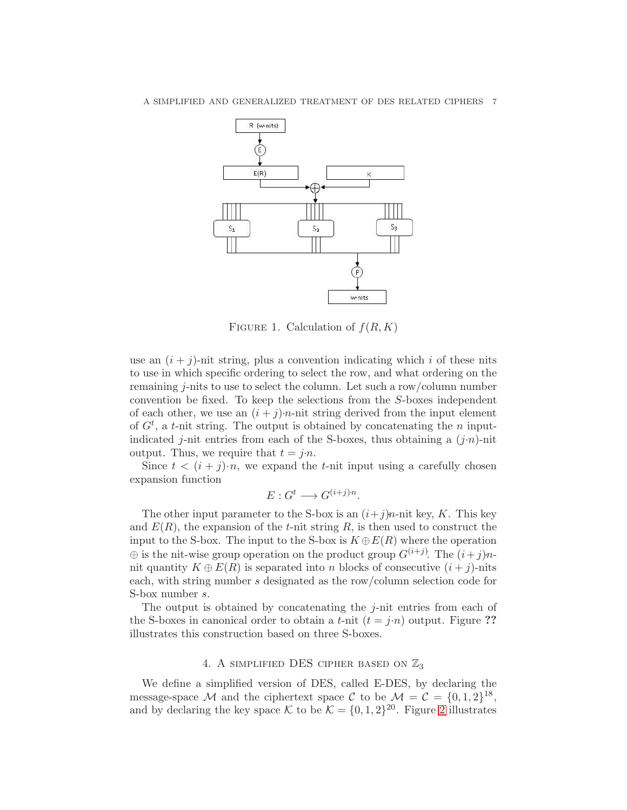

FIGURE 1. Calculation of  $f(R, K)$ 

use an  $(i + j)$ -nit string, plus a convention indicating which i of these nits to use in which specific ordering to select the row, and what ordering on the remaining j-nits to use to select the column. Let such a row/column number convention be fixed. To keep the selections from the S-boxes independent of each other, we use an  $(i + j)$ *n*-nit string derived from the input element of  $G<sup>t</sup>$ , a t-nit string. The output is obtained by concatenating the n inputindicated j-nit entries from each of the S-boxes, thus obtaining a  $(j \cdot n)$ -nit output. Thus, we require that  $t = j \cdot n$ .

Since  $t < (i + j) \cdot n$ , we expand the *t*-nit input using a carefully chosen expansion function

$$
E: G^t \longrightarrow G^{(i+j)n}.
$$

The other input parameter to the S-box is an  $(i+j)n$ -nit key, K. This key and  $E(R)$ , the expansion of the t-nit string R, is then used to construct the input to the S-box. The input to the S-box is  $K \oplus E(R)$  where the operation  $\oplus$  is the nit-wise group operation on the product group  $G^{(i+j)}$ . The  $(i+j)n$ nit quantity  $K \oplus E(R)$  is separated into n blocks of consecutive  $(i + j)$ -nits each, with string number s designated as the row/column selection code for S-box number s.

The output is obtained by concatenating the *j*-nit entries from each of the S-boxes in canonical order to obtain a t-nit  $(t = j \cdot n)$  output. Figure ?? illustrates this construction based on three S-boxes.

# 4. A SIMPLIFIED DES CIPHER BASED ON  $\mathbb{Z}_3$

We define a simplified version of DES, called E-DES, by declaring the message-space M and the ciphertext space C to be  $\mathcal{M} = \mathcal{C} = \{0, 1, 2\}^{18}$ , and by declaring the key space K to be  $\mathcal{K} = \{0, 1, 2\}^{20}$  $\mathcal{K} = \{0, 1, 2\}^{20}$  $\mathcal{K} = \{0, 1, 2\}^{20}$ . Figure 2 illustrates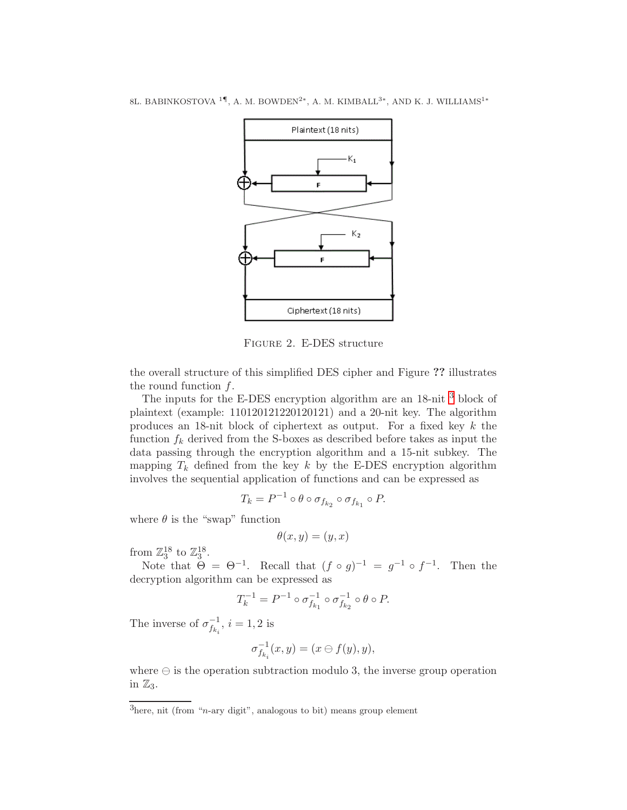

<span id="page-7-0"></span>Figure 2. E-DES structure

the overall structure of this simplified DES cipher and Figure ?? illustrates the round function  $f$ .

The inputs for the E-DES encryption algorithm are an 18-nit <sup>[3](#page-7-1)</sup> block of plaintext (example: 110120121220120121) and a 20-nit key. The algorithm produces an 18-nit block of ciphertext as output. For a fixed key k the function  $f_k$  derived from the S-boxes as described before takes as input the data passing through the encryption algorithm and a 15-nit subkey. The mapping  $T_k$  defined from the key k by the E-DES encryption algorithm involves the sequential application of functions and can be expressed as

$$
T_k = P^{-1} \circ \theta \circ \sigma_{f_{k_2}} \circ \sigma_{f_{k_1}} \circ P.
$$

where  $\theta$  is the "swap" function

$$
\theta(x, y) = (y, x)
$$

from  $\mathbb{Z}_3^{18}$  to  $\mathbb{Z}_3^{18}$ .

Note that  $\Theta = \Theta^{-1}$ . Recall that  $(f \circ g)^{-1} = g^{-1} \circ f^{-1}$ . Then the decryption algorithm can be expressed as

$$
T_k^{-1} = P^{-1} \circ \sigma_{f_{k_1}}^{-1} \circ \sigma_{f_{k_2}}^{-1} \circ \theta \circ P.
$$

The inverse of  $\sigma_f^{-1}$  $\overline{f_{k_i}}^1$ ,  $i = 1, 2$  is

$$
\sigma_{f_{k_i}}^{-1}(x,y)=(x\ominus f(y),y),
$$

where  $\ominus$  is the operation subtraction modulo 3, the inverse group operation in  $\mathbb{Z}_3$ .

<span id="page-7-1"></span> $3$ here, nit (from "*n*-ary digit", analogous to bit) means group element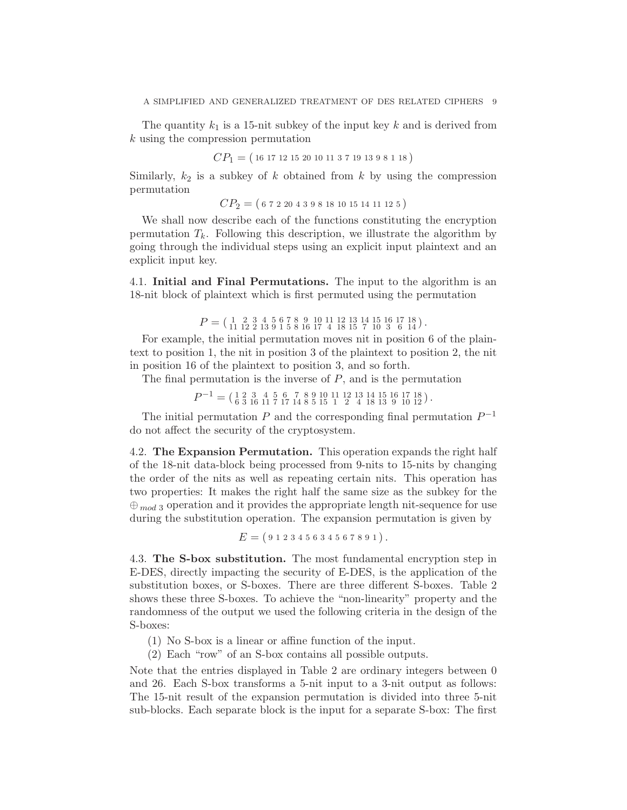The quantity  $k_1$  is a 15-nit subkey of the input key k and is derived from k using the compression permutation

$$
CP_1 = (16\;17\;12\;15\;20\;10\;11\;3\;7\;19\;13\;9\;8\;1\;18)
$$

Similarly,  $k_2$  is a subkey of k obtained from k by using the compression permutation

 $CP_2 = (6722043981810151411125)$ 

We shall now describe each of the functions constituting the encryption permutation  $T_k$ . Following this description, we illustrate the algorithm by going through the individual steps using an explicit input plaintext and an explicit input key.

4.1. Initial and Final Permutations. The input to the algorithm is an 18-nit block of plaintext which is first permuted using the permutation

 $P = ($   $\frac{1}{11}$   $\frac{2}{12}$   $\frac{3}{13}$   $\frac{4}{9}$   $\frac{5}{15}$   $\frac{8}{16}$   $\frac{17}{17}$   $\frac{4}{18}$   $\frac{13}{15}$   $\frac{14}{7}$   $\frac{10}{10}$   $\frac{3}{3}$   $\frac{6}{14}$  $\frac{14}{15}$ .

For example, the initial permutation moves nit in position 6 of the plaintext to position 1, the nit in position 3 of the plaintext to position 2, the nit in position 16 of the plaintext to position 3, and so forth.

The final permutation is the inverse of  $P$ , and is the permutation

 $P^{-1} = \left(\begin{smallmatrix} 1 & 2 & 3 & 4 & 5 & 6 & 7 & 8 & 9 & 10 & 11 & 12 & 13 & 14 & 15 & 16 & 17 & 18 \\ 6 & 3 & 16 & 11 & 7 & 17 & 14 & 8 & 5 & 15 & 1 & 2 & 4 & 18 & 13 & 9 & 10 & 12 \end{smallmatrix}\right).$ 

The initial permutation  $P$  and the corresponding final permutation  $P^{-1}$ do not affect the security of the cryptosystem.

4.2. The Expansion Permutation. This operation expands the right half of the 18-nit data-block being processed from 9-nits to 15-nits by changing the order of the nits as well as repeating certain nits. This operation has two properties: It makes the right half the same size as the subkey for the  $\oplus_{mod 3}$  operation and it provides the appropriate length nit-sequence for use during the substitution operation. The expansion permutation is given by

$$
E = (912345634567891).
$$

4.3. The S-box substitution. The most fundamental encryption step in E-DES, directly impacting the security of E-DES, is the application of the substitution boxes, or S-boxes. There are three different S-boxes. Table 2 shows these three S-boxes. To achieve the "non-linearity" property and the randomness of the output we used the following criteria in the design of the S-boxes:

(1) No S-box is a linear or affine function of the input.

(2) Each "row" of an S-box contains all possible outputs.

Note that the entries displayed in Table 2 are ordinary integers between 0 and 26. Each S-box transforms a 5-nit input to a 3-nit output as follows: The 15-nit result of the expansion permutation is divided into three 5-nit sub-blocks. Each separate block is the input for a separate S-box: The first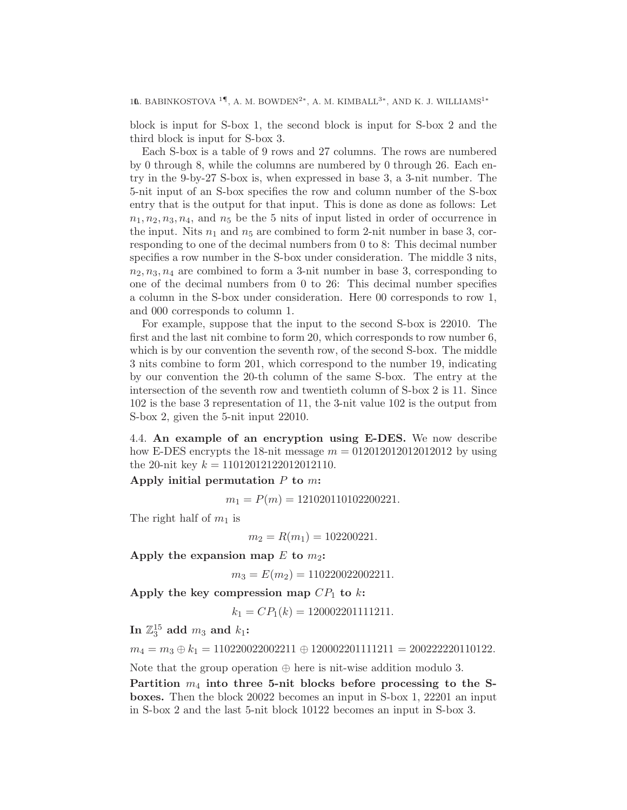10. BABINKOSTOVA <sup>1¶</sup>, A. M. BOWDEN<sup>2\*</sup>, A. M. KIMBALL<sup>3\*</sup>, AND K. J. WILLIAMS<sup>1\*</sup>

block is input for S-box 1, the second block is input for S-box 2 and the third block is input for S-box 3.

Each S-box is a table of 9 rows and 27 columns. The rows are numbered by 0 through 8, while the columns are numbered by 0 through 26. Each entry in the 9-by-27 S-box is, when expressed in base 3, a 3-nit number. The 5-nit input of an S-box specifies the row and column number of the S-box entry that is the output for that input. This is done as done as follows: Let  $n_1, n_2, n_3, n_4$ , and  $n_5$  be the 5 nits of input listed in order of occurrence in the input. Nits  $n_1$  and  $n_5$  are combined to form 2-nit number in base 3, corresponding to one of the decimal numbers from 0 to 8: This decimal number specifies a row number in the S-box under consideration. The middle 3 nits,  $n_2, n_3, n_4$  are combined to form a 3-nit number in base 3, corresponding to one of the decimal numbers from 0 to 26: This decimal number specifies a column in the S-box under consideration. Here 00 corresponds to row 1, and 000 corresponds to column 1.

For example, suppose that the input to the second S-box is 22010. The first and the last nit combine to form 20, which corresponds to row number 6, which is by our convention the seventh row, of the second S-box. The middle 3 nits combine to form 201, which correspond to the number 19, indicating by our convention the 20-th column of the same S-box. The entry at the intersection of the seventh row and twentieth column of S-box 2 is 11. Since 102 is the base 3 representation of 11, the 3-nit value 102 is the output from S-box 2, given the 5-nit input 22010.

4.4. An example of an encryption using E-DES. We now describe how E-DES encrypts the 18-nit message  $m = 012012012012012012$  by using the 20-nit key  $k = 11012012122012012110$ .

Apply initial permutation  $P$  to  $m$ :

 $m_1 = P(m) = 121020110102200221.$ 

The right half of  $m_1$  is

$$
m_2 = R(m_1) = 102200221.
$$

Apply the expansion map  $E$  to  $m_2$ :

 $m_3 = E(m_2) = 110220022002211.$ 

Apply the key compression map  $CP_1$  to k:

 $k_1 = CP_1(k) = 120002201111211.$ 

In  $\mathbb{Z}_3^{15}$  add  $m_3$  and  $k_1$ :

 $m_4 = m_3 \oplus k_1 = 110220022002211 \oplus 120002201111211 = 200222220110122.$ 

Note that the group operation  $\oplus$  here is nit-wise addition modulo 3.

Partition  $m_4$  into three 5-nit blocks before processing to the Sboxes. Then the block 20022 becomes an input in S-box 1, 22201 an input in S-box 2 and the last 5-nit block 10122 becomes an input in S-box 3.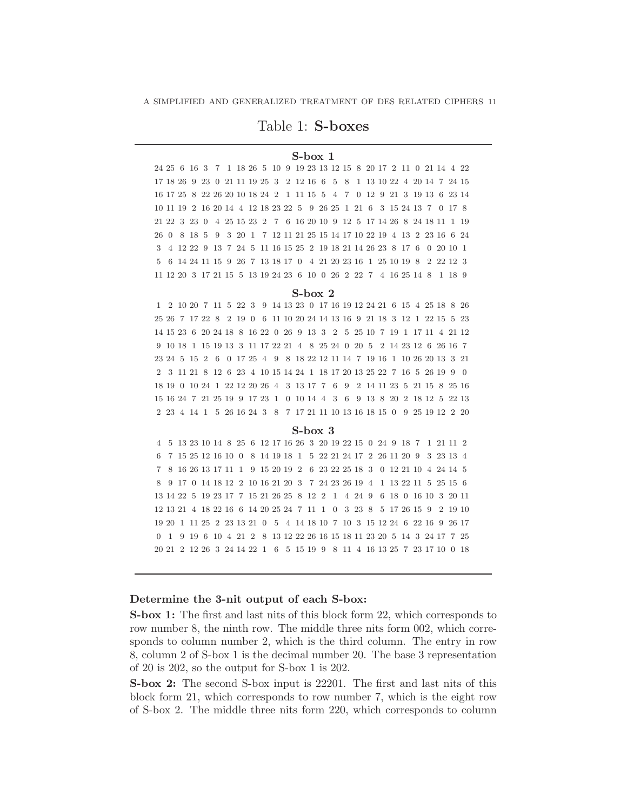# Table 1: S-boxes

# S-box 1

24 25 6 16 3 7 1 18 26 5 10 9 19 23 13 12 15 8 20 17 2 11 0 21 14 4 22 17 18 26 9 23 0 21 11 19 25 3 2 12 16 6 5 8 1 13 10 22 4 20 14 7 24 15 16 17 25 8 22 26 20 10 18 24 2 1 11 15 5 4 7 0 12 9 21 3 19 13 6 23 14 10 11 19 2 16 20 14 4 12 18 23 22 5 9 26 25 1 21 6 3 15 24 13 7 0 17 8 21 22 3 23 0 4 25 15 23 2 7 6 16 20 10 9 12 5 17 14 26 8 24 18 11 1 19 26 0 8 18 5 9 3 20 1 7 12 11 21 25 15 14 17 10 22 19 4 13 2 23 16 6 24 3 4 12 22 9 13 7 24 5 11 16 15 25 2 19 18 21 14 26 23 8 17 6 0 20 10 1 5 6 14 24 11 15 9 26 7 13 18 17 0 4 21 20 23 16 1 25 10 19 8 2 22 12 3 11 12 20 3 17 21 15 5 13 19 24 23 6 10 0 26 2 22 7 4 16 25 14 8 1 18 9

#### S-box 2

1 2 10 20 7 11 5 22 3 9 14 13 23 0 17 16 19 12 24 21 6 15 4 25 18 8 26 25 26 7 17 22 8 2 19 0 6 11 10 20 24 14 13 16 9 21 18 3 12 1 22 15 5 23 14 15 23 6 20 24 18 8 16 22 0 26 9 13 3 2 5 25 10 7 19 1 17 11 4 21 12 9 10 18 1 15 19 13 3 11 17 22 21 4 8 25 24 0 20 5 2 14 23 12 6 26 16 7 23 24 5 15 2 6 0 17 25 4 9 8 18 22 12 11 14 7 19 16 1 10 26 20 13 3 21 2 3 11 21 8 12 6 23 4 10 15 14 24 1 18 17 20 13 25 22 7 16 5 26 19 9 0 18 19 0 10 24 1 22 12 20 26 4 3 13 17 7 6 9 2 14 11 23 5 21 15 8 25 16 15 16 24 7 21 25 19 9 17 23 1 0 10 14 4 3 6 9 13 8 20 2 18 12 5 22 13 2 23 4 14 1 5 26 16 24 3 8 7 17 21 11 10 13 16 18 15 0 9 25 19 12 2 20

#### S-box 3

4 5 13 23 10 14 8 25 6 12 17 16 26 3 20 19 22 15 0 24 9 18 7 1 21 11 2 6 7 15 25 12 16 10 0 8 14 19 18 1 5 22 21 24 17 2 26 11 20 9 3 23 13 4 7 8 16 26 13 17 11 1 9 15 20 19 2 6 23 22 25 18 3 0 12 21 10 4 24 14 5 8 9 17 0 14 18 12 2 10 16 21 20 3 7 24 23 26 19 4 1 13 22 11 5 25 15 6 13 14 22 5 19 23 17 7 15 21 26 25 8 12 2 1 4 24 9 6 18 0 16 10 3 20 11 12 13 21 4 18 22 16 6 14 20 25 24 7 11 1 0 3 23 8 5 17 26 15 9 2 19 10 19 20 1 11 25 2 23 13 21 0 5 4 14 18 10 7 10 3 15 12 24 6 22 16 9 26 17 0 1 9 19 6 10 4 21 2 8 13 12 22 26 16 15 18 11 23 20 5 14 3 24 17 7 25 20 21 2 12 26 3 24 14 22 1 6 5 15 19 9 8 11 4 16 13 25 7 23 17 10 0 18

#### Determine the 3-nit output of each S-box:

S-box 1: The first and last nits of this block form 22, which corresponds to row number 8, the ninth row. The middle three nits form 002, which corresponds to column number 2, which is the third column. The entry in row 8, column 2 of S-box 1 is the decimal number 20. The base 3 representation of 20 is 202, so the output for S-box 1 is 202.

S-box 2: The second S-box input is 22201. The first and last nits of this block form 21, which corresponds to row number 7, which is the eight row of S-box 2. The middle three nits form 220, which corresponds to column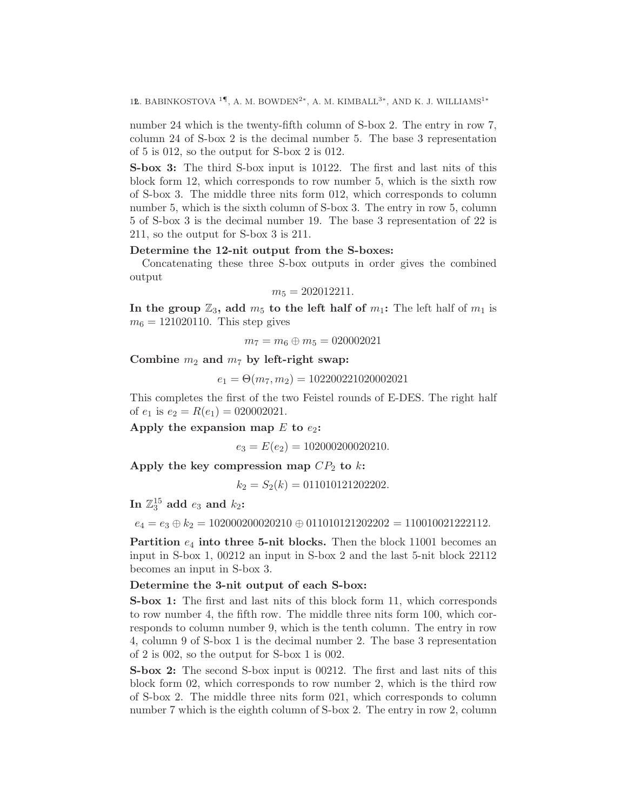12. BABINKOSTOVA <sup>1¶</sup>, A. M. BOWDEN<sup>2</sup><sup>\*</sup>, A. M. KIMBALL<sup>3\*</sup>, AND K. J. WILLIAMS<sup>1</sup><sup>\*</sup>

number 24 which is the twenty-fifth column of S-box 2. The entry in row 7, column 24 of S-box 2 is the decimal number 5. The base 3 representation of 5 is 012, so the output for S-box 2 is 012.

S-box 3: The third S-box input is 10122. The first and last nits of this block form 12, which corresponds to row number 5, which is the sixth row of S-box 3. The middle three nits form 012, which corresponds to column number 5, which is the sixth column of S-box 3. The entry in row 5, column 5 of S-box 3 is the decimal number 19. The base 3 representation of 22 is 211, so the output for S-box 3 is 211.

# Determine the 12-nit output from the S-boxes:

Concatenating these three S-box outputs in order gives the combined output

$$
m_5 = 202012211.
$$

In the group  $\mathbb{Z}_3$ , add  $m_5$  to the left half of  $m_1$ : The left half of  $m_1$  is  $m_6 = 121020110$ . This step gives

 $m_7 = m_6 \oplus m_5 = 020002021$ 

Combine  $m_2$  and  $m_7$  by left-right swap:

 $e_1 = \Theta(m_7, m_2) = 102200221020002021$ 

This completes the first of the two Feistel rounds of E-DES. The right half of  $e_1$  is  $e_2 = R(e_1) = 020002021$ .

Apply the expansion map  $E$  to  $e_2$ :

 $e_3 = E(e_2) = 102000200020210.$ 

Apply the key compression map  $CP_2$  to k:

 $k_2 = S_2(k) = 011010121202202.$ 

In  $\mathbb{Z}_3^{15}$  add  $e_3$  and  $k_2$ :

 $e_4 = e_3 \oplus k_2 = 102000200020210 \oplus 011010121202202 = 110010021222112.$ 

**Partition**  $e_4$  into three 5-nit blocks. Then the block 11001 becomes an input in S-box 1, 00212 an input in S-box 2 and the last 5-nit block 22112 becomes an input in S-box 3.

# Determine the 3-nit output of each S-box:

S-box 1: The first and last nits of this block form 11, which corresponds to row number 4, the fifth row. The middle three nits form 100, which corresponds to column number 9, which is the tenth column. The entry in row 4, column 9 of S-box 1 is the decimal number 2. The base 3 representation of 2 is 002, so the output for S-box 1 is 002.

S-box 2: The second S-box input is 00212. The first and last nits of this block form 02, which corresponds to row number 2, which is the third row of S-box 2. The middle three nits form 021, which corresponds to column number 7 which is the eighth column of S-box 2. The entry in row 2, column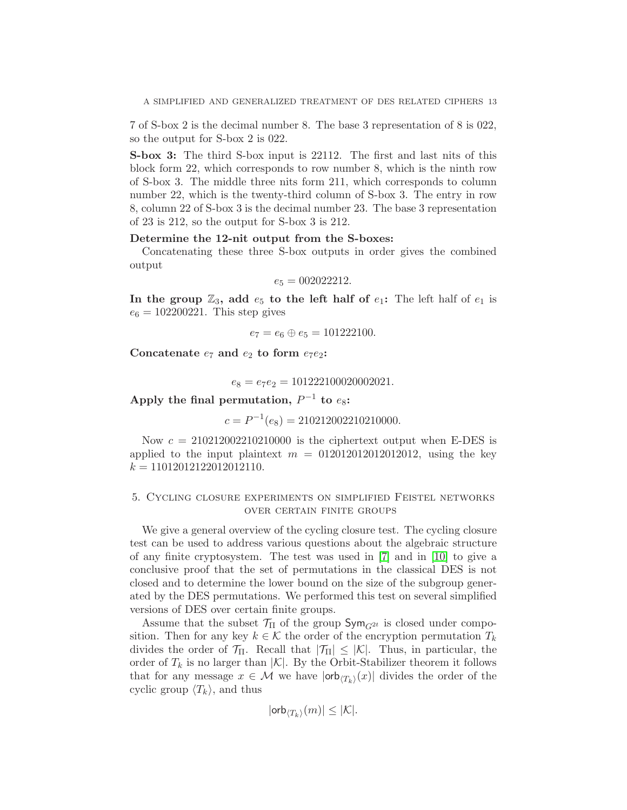7 of S-box 2 is the decimal number 8. The base 3 representation of 8 is 022, so the output for S-box 2 is 022.

S-box 3: The third S-box input is 22112. The first and last nits of this block form 22, which corresponds to row number 8, which is the ninth row of S-box 3. The middle three nits form 211, which corresponds to column number 22, which is the twenty-third column of S-box 3. The entry in row 8, column 22 of S-box 3 is the decimal number 23. The base 3 representation of 23 is 212, so the output for S-box 3 is 212.

# Determine the 12-nit output from the S-boxes:

Concatenating these three S-box outputs in order gives the combined output

$$
e_5 = 002022212.
$$

In the group  $\mathbb{Z}_3$ , add  $e_5$  to the left half of  $e_1$ : The left half of  $e_1$  is  $e_6 = 102200221$ . This step gives

$$
e_7 = e_6 \oplus e_5 = 101222100.
$$

Concatenate  $e_7$  and  $e_2$  to form  $e_7e_2$ :

$$
e_8 = e_7 e_2 = 101222100020002021.
$$

Apply the final permutation,  $P^{-1}$  to  $e_8$ :

 $c = P^{-1}(e_8) = 210212002210210000.$ 

Now  $c = 210212002210210000$  is the ciphertext output when E-DES is applied to the input plaintext  $m = 012012012012012012$ , using the key  $k = 11012012122012012110.$ 

# 5. Cycling closure experiments on simplified Feistel networks over certain finite groups

We give a general overview of the cycling closure test. The cycling closure test can be used to address various questions about the algebraic structure of any finite cryptosystem. The test was used in [\[7\]](#page-21-1) and in [\[10\]](#page-21-7) to give a conclusive proof that the set of permutations in the classical DES is not closed and to determine the lower bound on the size of the subgroup generated by the DES permutations. We performed this test on several simplified versions of DES over certain finite groups.

Assume that the subset  $\mathcal{T}_{\Pi}$  of the group  $\mathsf{Sym}_{G^{2t}}$  is closed under composition. Then for any key  $k \in \mathcal{K}$  the order of the encryption permutation  $T_k$ divides the order of  $\mathcal{T}_{\Pi}$ . Recall that  $|\mathcal{T}_{\Pi}| \leq |\mathcal{K}|$ . Thus, in particular, the order of  $T_k$  is no larger than  $|\mathcal{K}|$ . By the Orbit-Stabilizer theorem it follows that for any message  $x \in \mathcal{M}$  we have  $|\textsf{orb}_{\langle T_k \rangle}(x)|$  divides the order of the cyclic group  $\langle T_k \rangle$ , and thus

$$
|\textsf{orb}_{\langle T_k\rangle}(m)|\leq |\mathcal{K}|.
$$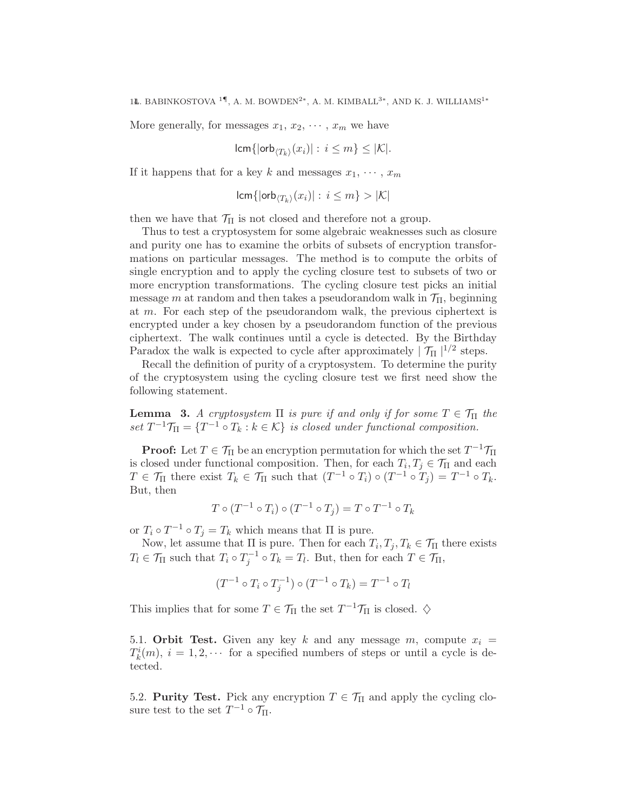More generally, for messages  $x_1, x_2, \cdots, x_m$  we have

$$
\operatorname{\mathsf{lcm}}\{|\operatorname{\mathsf{orb}}_{\langle T_k\rangle}(x_i)|:\, i\leq m\}\leq |\mathcal{K}|.
$$

If it happens that for a key k and messages  $x_1, \dots, x_m$ 

$$
\operatorname{lcm}\{\operatorname{lorb}_{\langle T_k\rangle}(x_i)\colon i\leq m\} > |\mathcal{K}|
$$

then we have that  $\mathcal{T}_{\Pi}$  is not closed and therefore not a group.

Thus to test a cryptosystem for some algebraic weaknesses such as closure and purity one has to examine the orbits of subsets of encryption transformations on particular messages. The method is to compute the orbits of single encryption and to apply the cycling closure test to subsets of two or more encryption transformations. The cycling closure test picks an initial message m at random and then takes a pseudorandom walk in  $\mathcal{T}_{\Pi}$ , beginning at m. For each step of the pseudorandom walk, the previous ciphertext is encrypted under a key chosen by a pseudorandom function of the previous ciphertext. The walk continues until a cycle is detected. By the Birthday Paradox the walk is expected to cycle after approximately  $|\mathcal{T}_{\Pi}|^{1/2}$  steps.

Recall the definition of purity of a cryptosystem. To determine the purity of the cryptosystem using the cycling closure test we first need show the following statement.

**Lemma** 3. A cryptosystem  $\Pi$  is pure if and only if for some  $T \in \mathcal{T}_{\Pi}$  the set  $T^{-1}\mathcal{T}_{\Pi} = \{T^{-1} \circ T_k : k \in \mathcal{K}\}\$ is closed under functional composition.

**Proof:** Let  $T \in \mathcal{T}_{\Pi}$  be an encryption permutation for which the set  $T^{-1}\mathcal{T}_{\Pi}$ is closed under functional composition. Then, for each  $T_i, T_j \in \mathcal{T}_{\Pi}$  and each  $T \in \mathcal{T}_{\Pi}$  there exist  $T_k \in \mathcal{T}_{\Pi}$  such that  $(T^{-1} \circ T_i) \circ (T^{-1} \circ T_j) = T^{-1} \circ T_k$ . But, then

$$
T \circ (T^{-1} \circ T_i) \circ (T^{-1} \circ T_j) = T \circ T^{-1} \circ T_k
$$

or  $T_i \circ T^{-1} \circ T_j = T_k$  which means that  $\Pi$  is pure.

Now, let assume that  $\Pi$  is pure. Then for each  $T_i, T_j, T_k \in \mathcal{T}_{\Pi}$  there exists  $T_l \in \mathcal{T}_{\Pi}$  such that  $T_i \circ T_j^{-1} \circ T_k = T_l$ . But, then for each  $T \in \mathcal{T}_{\Pi}$ ,

$$
(T^{-1} \circ T_i \circ T_j^{-1}) \circ (T^{-1} \circ T_k) = T^{-1} \circ T_l
$$

This implies that for some  $T \in \mathcal{T}_{\Pi}$  the set  $T^{-1}\mathcal{T}_{\Pi}$  is closed.  $\diamondsuit$ 

5.1. Orbit Test. Given any key k and any message m, compute  $x_i =$  $T_k^i(m)$ ,  $i = 1, 2, \cdots$  for a specified numbers of steps or until a cycle is detected.

5.2. **Purity Test.** Pick any encryption  $T \in \mathcal{T}_{\Pi}$  and apply the cycling closure test to the set  $T^{-1} \circ \mathcal{T}_{\Pi}$ .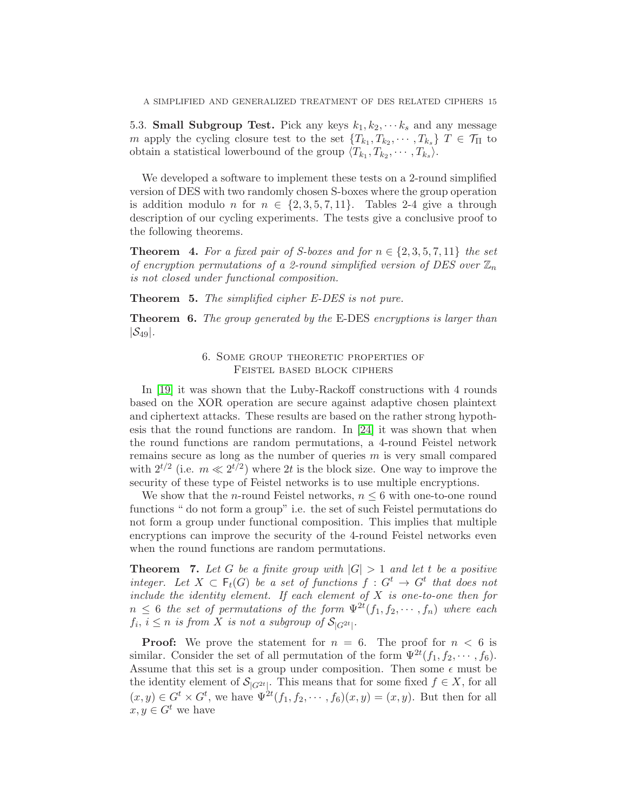5.3. **Small Subgroup Test.** Pick any keys  $k_1, k_2, \dots, k_s$  and any message m apply the cycling closure test to the set  $\{T_{k_1}, T_{k_2}, \cdots, T_{k_s}\}\ T \in \mathcal{T}_{\Pi}$  to obtain a statistical lowerbound of the group  $\langle T_{k_1}, T_{k_2}, \cdots, T_{k_s} \rangle$ .

We developed a software to implement these tests on a 2-round simplified version of DES with two randomly chosen S-boxes where the group operation is addition modulo n for  $n \in \{2, 3, 5, 7, 11\}$ . Tables 2-4 give a through description of our cycling experiments. The tests give a conclusive proof to the following theorems.

<span id="page-14-0"></span>**Theorem 4.** For a fixed pair of S-boxes and for  $n \in \{2, 3, 5, 7, 11\}$  the set of encryption permutations of a 2-round simplified version of DES over  $\mathbb{Z}_n$ is not closed under functional composition.

**Theorem 5.** The simplified cipher E-DES is not pure.

Theorem 6. The group generated by the E-DES encryptions is larger than  $|\mathcal{S}_{49}|$ .

# 6. Some group theoretic properties of Feistel based block ciphers

In [\[19\]](#page-22-9) it was shown that the Luby-Rackoff constructions with 4 rounds based on the XOR operation are secure against adaptive chosen plaintext and ciphertext attacks. These results are based on the rather strong hypothesis that the round functions are random. In [\[24\]](#page-22-10) it was shown that when the round functions are random permutations, a 4-round Feistel network remains secure as long as the number of queries  $m$  is very small compared with  $2^{t/2}$  (i.e.  $m \ll 2^{t/2}$ ) where 2t is the block size. One way to improve the security of these type of Feistel networks is to use multiple encryptions.

We show that the *n*-round Feistel networks,  $n \leq 6$  with one-to-one round functions " do not form a group" i.e. the set of such Feistel permutations do not form a group under functional composition. This implies that multiple encryptions can improve the security of the 4-round Feistel networks even when the round functions are random permutations.

**Theorem 7.** Let G be a finite group with  $|G| > 1$  and let t be a positive integer. Let  $X \subset \mathsf{F}_t(G)$  be a set of functions  $f : G^t \to G^t$  that does not include the identity element. If each element of  $X$  is one-to-one then for  $n \leq 6$  the set of permutations of the form  $\Psi^{2t}(f_1, f_2, \dots, f_n)$  where each  $f_i, i \leq n$  is from X is not a subgroup of  $\mathcal{S}_{|G^{2t}|}.$ 

**Proof:** We prove the statement for  $n = 6$ . The proof for  $n < 6$  is similar. Consider the set of all permutation of the form  $\Psi^{2t}(f_1, f_2, \dots, f_6)$ . Assume that this set is a group under composition. Then some  $\epsilon$  must be the identity element of  $S_{|G^{2t}|}$ . This means that for some fixed  $f \in X$ , for all  $(x, y) \in G^t \times G^t$ , we have  $\Psi^{2t}(f_1, f_2, \dots, f_6)(x, y) = (x, y)$ . But then for all  $x, y \in G^t$  we have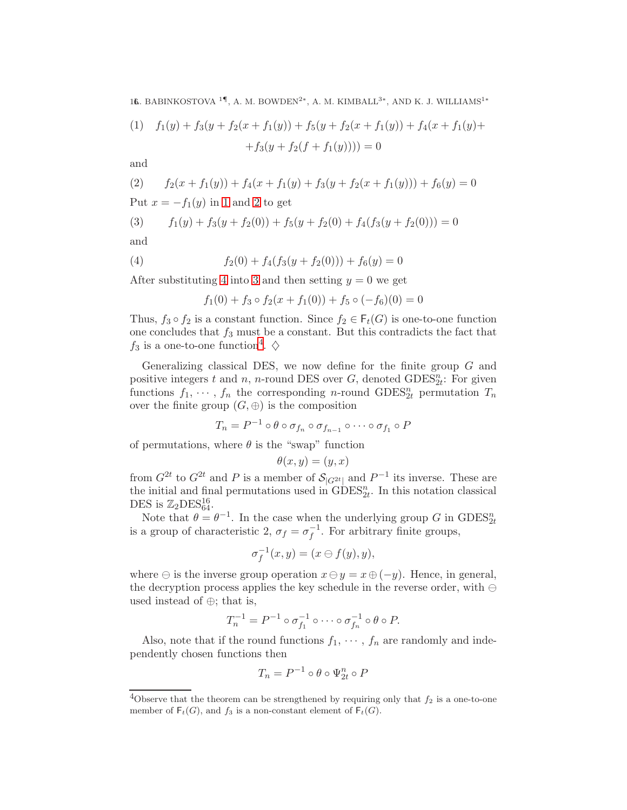16. BABINKOSTOVA <sup>1¶</sup>, A. M. BOWDEN<sup>2</sup><sup>\*</sup>, A. M. KIMBALL<sup>3\*</sup>, AND K. J. WILLIAMS<sup>1</sup><sup>\*</sup>

<span id="page-15-0"></span>(1) 
$$
f_1(y) + f_3(y + f_2(x + f_1(y)) + f_5(y + f_2(x + f_1(y))) + f_4(x + f_1(y)) +
$$
  
+ $f_3(y + f_2(f + f_1(y)))) = 0$ 

and

<span id="page-15-1"></span>(2) 
$$
f_2(x + f_1(y)) + f_4(x + f_1(y) + f_3(y + f_2(x + f_1(y))) + f_6(y) = 0
$$
  
Put  $x = -f_1(y)$  in 1 and 2 to get

<span id="page-15-3"></span>(3) 
$$
f_1(y) + f_3(y + f_2(0)) + f_5(y + f_2(0) + f_4(f_3(y + f_2(0))) = 0
$$

and

(4) 
$$
f_2(0) + f_4(f_3(y + f_2(0))) + f_6(y) = 0
$$

After substituting [4](#page-15-2) into [3](#page-15-3) and then setting  $y = 0$  we get

<span id="page-15-2"></span>
$$
f_1(0) + f_3 \circ f_2(x + f_1(0)) + f_5 \circ (-f_6)(0) = 0
$$

Thus,  $f_3 \circ f_2$  is a constant function. Since  $f_2 \in \mathsf{F}_t(G)$  is one-to-one function one concludes that  $f_3$  must be a constant. But this contradicts the fact that  $f_3$  is a one-to-one function<sup>[4](#page-15-4)</sup>.  $\diamondsuit$ 

Generalizing classical DES, we now define for the finite group  $G$  and positive integers t and n, n-round DES over  $G$ , denoted  $\text{GDES}_{2t}^n$ : For given functions  $f_1, \dots, f_n$  the corresponding *n*-round GDES<sub>2</sub><sup>n</sup> permutation  $T_n$ over the finite group  $(G, \oplus)$  is the composition

$$
T_n = P^{-1} \circ \theta \circ \sigma_{f_n} \circ \sigma_{f_{n-1}} \circ \cdots \circ \sigma_{f_1} \circ P
$$

of permutations, where  $\theta$  is the "swap" function

$$
\theta(x, y) = (y, x)
$$

from  $G^{2t}$  to  $G^{2t}$  and P is a member of  $\mathcal{S}_{|G^{2t}|}$  and  $P^{-1}$  its inverse. These are the initial and final permutations used in  $GDES_{2t}^{n}$ . In this notation classical DES is  $\mathbb{Z}_2$ DES $_{64}^{16}$ .

Note that  $\theta = \theta^{-1}$ . In the case when the underlying group G in GDES<sup>n</sup><sub>2t</sub> is a group of characteristic 2,  $\sigma_f = \sigma_f^{-1}$  $f^{-1}$ . For arbitrary finite groups,

$$
\sigma_f^{-1}(x, y) = (x \ominus f(y), y),
$$

where  $\ominus$  is the inverse group operation  $x \ominus y = x \oplus (-y)$ . Hence, in general, the decryption process applies the key schedule in the reverse order, with ⊖ used instead of ⊕; that is,

$$
T_n^{-1} = P^{-1} \circ \sigma_{f_1}^{-1} \circ \cdots \circ \sigma_{f_n}^{-1} \circ \theta \circ P.
$$

Also, note that if the round functions  $f_1, \dots, f_n$  are randomly and independently chosen functions then

$$
T_n = P^{-1} \circ \theta \circ \Psi_{2t}^n \circ P
$$

<span id="page-15-4"></span><sup>&</sup>lt;sup>4</sup>Observe that the theorem can be strengthened by requiring only that  $f_2$  is a one-to-one member of  $F_t(G)$ , and  $f_3$  is a non-constant element of  $F_t(G)$ .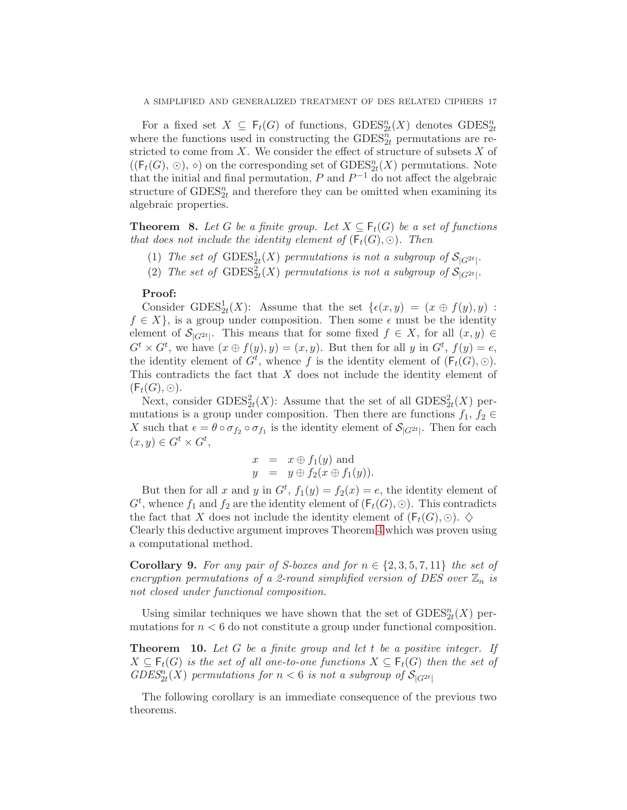For a fixed set  $X \subseteq \mathsf{F}_t(G)$  of functions,  $\text{GDES}^n_{2t}(X)$  denotes  $\text{GDES}^n_{2t}$ where the functions used in constructing the  $\text{GDES}_{2t}^n$  permutations are restricted to come from  $X$ . We consider the effect of structure of subsets  $X$  of  $((\mathsf{F}_t(G), \odot), \circ)$  on the corresponding set of  $\mathrm{GDES}^n_{2t}(X)$  permutations. Note that the initial and final permutation,  $P$  and  $P^{-1}$  do not affect the algebraic structure of  $\text{GDES}_{2t}^n$  and therefore they can be omitted when examining its algebraic properties.

<span id="page-16-1"></span>**Theorem 8.** Let G be a finite group. Let  $X \subseteq \mathsf{F}_t(G)$  be a set of functions that does not include the identity element of  $(F_t(G), \odot)$ . Then

- (1) The set of  $\text{GDES}_{2t}^1(X)$  permutations is not a subgroup of  $\mathcal{S}_{|G^{2t}|}$ .
- (2) The set of  $\text{GDES}_{2t}^2(X)$  permutations is not a subgroup of  $\mathcal{S}_{|G^{2t}|}$ .

## Proof:

Consider GDES<sup>1</sup><sub>2t</sub>(X): Assume that the set  $\{\epsilon(x, y) = (x \oplus f(y), y)$ :  $f \in X$ , is a group under composition. Then some  $\epsilon$  must be the identity element of  $\mathcal{S}_{|G^{2t}|}$ . This means that for some fixed  $f \in X$ , for all  $(x, y) \in$  $G^t \times G^t$ , we have  $(x \oplus f(y), y) = (x, y)$ . But then for all y in  $G^t$ ,  $f(y) = e$ , the identity element of  $G^t$ , whence f is the identity element of  $(\mathsf{F}_t(G), \odot)$ . This contradicts the fact that X does not include the identity element of  $(F_t(G),\odot).$ 

Next, consider  $GDES<sub>2t</sub><sup>2</sup>(X)$ : Assume that the set of all  $GDES<sub>2t</sub><sup>2</sup>(X)$  permutations is a group under composition. Then there are functions  $f_1, f_2 \in$ X such that  $\epsilon = \theta \circ \sigma_{f_2} \circ \sigma_{f_1}$  is the identity element of  $\mathcal{S}_{|G^{2t}|}$ . Then for each  $(x, y) \in G^t \times G^t$ ,

$$
x = x \oplus f_1(y) \text{ and}
$$
  

$$
y = y \oplus f_2(x \oplus f_1(y)).
$$

But then for all x and y in  $G^t$ ,  $f_1(y) = f_2(x) = e$ , the identity element of  $G<sup>t</sup>$ , whence  $f_1$  and  $f_2$  are the identity element of  $(F_t(G), \odot)$ . This contradicts the fact that X does not include the identity element of  $(F_t(G), \odot)$ .  $\diamondsuit$ 

Clearly this deductive argument improves Theorem [4](#page-14-0) which was proven using a computational method.

<span id="page-16-0"></span>**Corollary 9.** For any pair of S-boxes and for  $n \in \{2, 3, 5, 7, 11\}$  the set of encryption permutations of a 2-round simplified version of DES over  $\mathbb{Z}_n$  is not closed under functional composition.

Using similar techniques we have shown that the set of  $\text{GDES}_{2t}^n(X)$  permutations for  $n < 6$  do not constitute a group under functional composition.

**Theorem 10.** Let  $G$  be a finite group and let  $t$  be a positive integer. If  $X \subseteq \mathsf{F}_t(G)$  is the set of all one-to-one functions  $X \subseteq \mathsf{F}_t(G)$  then the set of  $GDES_{2t}^{n}(X)$  permutations for  $n < 6$  is not a subgroup of  $\mathcal{S}_{|G^{2t}|}$ 

The following corollary is an immediate consequence of the previous two theorems.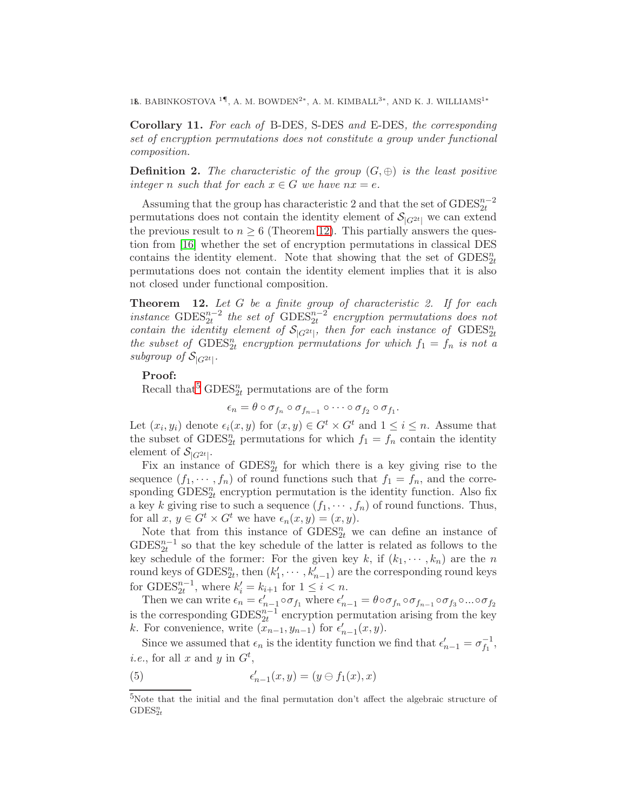1&. BABINKOSTOVA<sup>1¶</sup>, A. M. BOWDEN<sup>2</sup><sup>\*</sup>, A. M. KIMBALL<sup>3\*</sup>, AND K. J. WILLIAMS<sup>1</sup><sup>\*</sup>

Corollary 11. For each of B-DES, S-DES and E-DES, the corresponding set of encryption permutations does not constitute a group under functional composition.

**Definition 2.** The characteristic of the group  $(G, \oplus)$  is the least positive integer n such that for each  $x \in G$  we have  $nx = e$ .

Assuming that the group has characteristic 2 and that the set of  $\text{GDES}^{n-2}_{2t}$ permutations does not contain the identity element of  $\mathcal{S}_{|G^{2t}|}$  we can extend the previous result to  $n \geq 6$  (Theorem [12\)](#page-17-0). This partially answers the question from [\[16\]](#page-22-7) whether the set of encryption permutations in classical DES contains the identity element. Note that showing that the set of  $\text{GDES}_{2t}^n$ permutations does not contain the identity element implies that it is also not closed under functional composition.

<span id="page-17-0"></span>**Theorem** 12. Let  $G$  be a finite group of characteristic 2. If for each instance  $\text{GDES}_{2t}^{n-2}$  the set of  $\text{GDES}_{2t}^{n-2}$  encryption permutations does not contain the identity element of  $S_{|G^{2t}|}$ , then for each instance of  $\text{GDES}_{2t}^n$ the subset of  $\text{GDES}_{2t}^n$  encryption permutations for which  $f_1 = f_n$  is not a subgroup of  $S_{|G^{2t}|}$ .

# Proof:

Recall that<sup>[5](#page-17-1)</sup> GDES<sup>n</sup><sub>2t</sub> permutations are of the form

$$
\epsilon_n = \theta \circ \sigma_{f_n} \circ \sigma_{f_{n-1}} \circ \cdots \circ \sigma_{f_2} \circ \sigma_{f_1}.
$$

Let  $(x_i, y_i)$  denote  $\epsilon_i(x, y)$  for  $(x, y) \in G^t \times G^t$  and  $1 \leq i \leq n$ . Assume that the subset of  $\text{GDES}_{2t}^n$  permutations for which  $f_1 = f_n$  contain the identity element of  $\mathcal{S}_{|G^{2t}|}$ .

Fix an instance of  $\text{GDES}_{2t}^n$  for which there is a key giving rise to the sequence  $(f_1, \dots, f_n)$  of round functions such that  $f_1 = f_n$ , and the corresponding  $\text{GDES}_{2t}^n$  encryption permutation is the identity function. Also fix a key k giving rise to such a sequence  $(f_1, \dots, f_n)$  of round functions. Thus, for all  $x, y \in G^t \times G^t$  we have  $\epsilon_n(x, y) = (x, y)$ .

Note that from this instance of  $\text{GDES}_{2t}^n$  we can define an instance of  $GDES_{2t}^{n-1}$  so that the key schedule of the latter is related as follows to the key schedule of the former: For the given key k, if  $(k_1, \dots, k_n)$  are the n round keys of  $\text{GDES}_{2t}^n$ , then  $(k'_1, \dots, k'_{n-1})$  are the corresponding round keys for  $\text{GDES}_{2t}^{n-1}$ , where  $k'_i = k_{i+1}$  for  $1 \leq i < n$ .

Then we can write  $\epsilon_n = \epsilon'_{n-1} \circ \sigma_{f_1}$  where  $\epsilon'_{n-1} = \theta \circ \sigma_{f_n} \circ \sigma_{f_{n-1}} \circ \sigma_{f_3} \circ ... \circ \sigma_{f_2}$ is the corresponding  $\text{GDES}_{2t}^{n-1}$  encryption permutation arising from the key k. For convenience, write  $(\bar{x}_{n-1}, y_{n-1})$  for  $\epsilon'_{n-1}(x, y)$ .

Since we assumed that  $\epsilon_n$  is the identity function we find that  $\epsilon'_{n-1} = \sigma_{f_1}^{-1}$  $^{-1}_{f_1},$ *i.e.*, for all x and y in  $G^t$ ,

<span id="page-17-2"></span>(5) 
$$
\epsilon'_{n-1}(x,y) = (y \ominus f_1(x),x)
$$

<span id="page-17-1"></span><sup>5</sup>Note that the initial and the final permutation don't affect the algebraic structure of  $\text{GDES}^n_{2t}$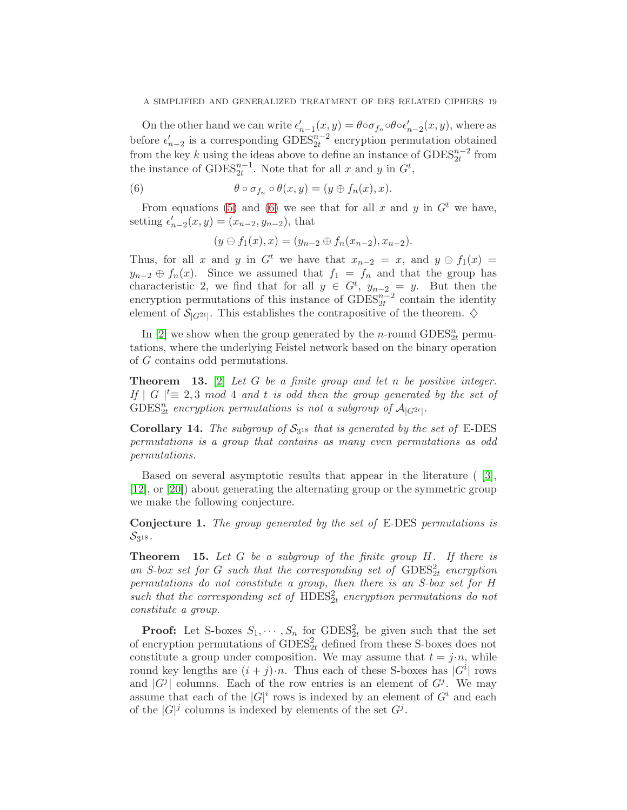On the other hand we can write  $\epsilon'_{n-1}(x, y) = \theta \circ \sigma_{f_n} \circ \theta \circ \epsilon'_{n-2}(x, y)$ , where as before  $\epsilon'_{n-2}$  is a corresponding  $\text{GDES}_{2t}^{n-2}$  encryption permutation obtained from the key k using the ideas above to define an instance of  $\text{GDES}_{2t}^{n-2}$  from the instance of  $\text{GDES}_{2t}^{n-1}$ . Note that for all x and y in  $G^t$ ,

(6) 
$$
\theta \circ \sigma_{f_n} \circ \theta(x, y) = (y \oplus f_n(x), x).
$$

From equations [\(5\)](#page-17-2) and [\(6\)](#page-18-0) we see that for all x and y in  $G<sup>t</sup>$  we have, setting  $\epsilon'_{n-2}(x, y) = (x_{n-2}, y_{n-2})$ , that

<span id="page-18-0"></span>
$$
(y \ominus f_1(x), x) = (y_{n-2} \oplus f_n(x_{n-2}), x_{n-2}).
$$

Thus, for all x and y in  $G<sup>t</sup>$  we have that  $x_{n-2} = x$ , and  $y \ominus f_1(x) =$  $y_{n-2} \oplus f_n(x)$ . Since we assumed that  $f_1 = f_n$  and that the group has characteristic 2, we find that for all  $y \in G^t$ ,  $y_{n-2} = y$ . But then the encryption permutations of this instance of  $\text{GDES}_{2t}^{n-2}$  contain the identity element of  $\mathcal{S}_{|G^{2t}|}$ . This establishes the contrapositive of the theorem.  $\diamondsuit$ 

In [\[2\]](#page-21-8) we show when the group generated by the *n*-round  $\text{GDES}^n_{2t}$  permutations, where the underlying Feistel network based on the binary operation of G contains odd permutations.

**Theorem 13.** [\[2\]](#page-21-8) Let G be a finite group and let n be positive integer. If  $|G|$   $\leq$  2,3 mod 4 and t is odd then the group generated by the set of  $\text{GDES}_{2t}^n$  encryption permutations is not a subgroup of  $\mathcal{A}_{|G^{2t}|}$ .

**Corollary 14.** The subgroup of  $S_{3^{18}}$  that is generated by the set of E-DES permutations is a group that contains as many even permutations as odd permutations.

Based on several asymptotic results that appear in the literature ( [\[3\]](#page-21-13), [\[12\]](#page-21-14), or [\[20\]](#page-22-11)) about generating the alternating group or the symmetric group we make the following conjecture.

Conjecture 1. The group generated by the set of E-DES permutations is  $\mathcal{S}_{3^{18}}$  .

<span id="page-18-1"></span>**Theorem** 15. Let  $G$  be a subgroup of the finite group  $H$ . If there is an S-box set for G such that the corresponding set of  $\text{GDES}^2_{2t}$  encryption permutations do not constitute a group, then there is an S-box set for H such that the corresponding set of  $HDES<sub>2t</sub><sup>2</sup>$  encryption permutations do not constitute a group.

**Proof:** Let S-boxes  $S_1, \dots, S_n$  for  $GDES_{2t}^2$  be given such that the set of encryption permutations of  $\text{GDES}_{2t}^2$  defined from these S-boxes does not constitute a group under composition. We may assume that  $t = j \cdot n$ , while round key lengths are  $(i + j) \cdot n$ . Thus each of these S-boxes has  $|G^i|$  rows and  $|G^j|$  columns. Each of the row entries is an element of  $G^j$ . We may assume that each of the  $|G|^i$  rows is indexed by an element of  $G^i$  and each of the  $|G|^j$  columns is indexed by elements of the set  $G^j$ .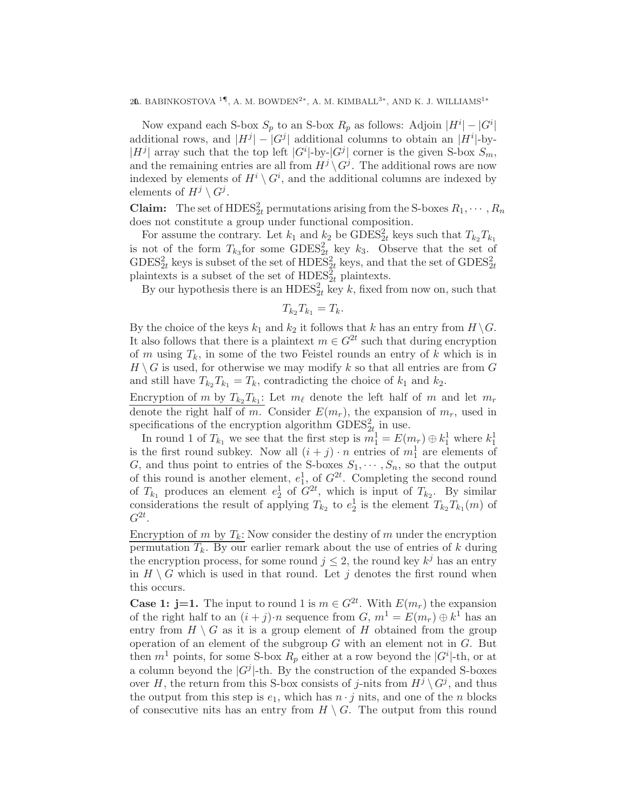20. BABINKOSTOVA $^{1\P},$ A. M. BOWDEN<sup>2∗</sup>, A. M. KIMBALL<sup>3∗</sup>, AND K. J. WILLIAMS<sup>1</sup><sup>∗</sup>

Now expand each S-box  $S_p$  to an S-box  $R_p$  as follows: Adjoin  $|H^i| - |G^i|$ additional rows, and  $|H^j| - |G^j|$  additional columns to obtain an  $|H^i|$ -by- $|H^j|$  array such that the top left  $|G^i|$ -by- $|G^j|$  corner is the given S-box  $S_m$ , and the remaining entries are all from  $H^{j} \setminus G^{j}$ . The additional rows are now indexed by elements of  $H^i \setminus G^i$ , and the additional columns are indexed by elements of  $H^j \setminus G^j$ .

**Claim:** The set of  $HDES_{2t}^2$  permutations arising from the S-boxes  $R_1, \dots, R_n$ does not constitute a group under functional composition.

For assume the contrary. Let  $k_1$  and  $k_2$  be  $\text{GDES}_{2t}^2$  keys such that  $T_{k_2}T_{k_1}$ is not of the form  $T_{k_3}$  for some  $\text{GDES}^2_{2t}$  key  $k_3$ . Observe that the set of  $\text{GDES}_{2t}^2$  keys is subset of the set of  $\text{HDES}_{2t}^2$  keys, and that the set of  $\text{GDES}_{2t}^2$ plaintexts is a subset of the set of  $HDES<sub>2t</sub><sup>2</sup>$  plaintexts.

By our hypothesis there is an  $HDES<sub>2t</sub><sup>2</sup>$  key k, fixed from now on, such that

$$
T_{k_2}T_{k_1}=T_k.
$$

By the choice of the keys  $k_1$  and  $k_2$  it follows that k has an entry from  $H \backslash G$ . It also follows that there is a plaintext  $m \in G^{2t}$  such that during encryption of m using  $T_k$ , in some of the two Feistel rounds an entry of k which is in  $H \setminus G$  is used, for otherwise we may modify k so that all entries are from G and still have  $T_{k_2} T_{k_1} = T_k$ , contradicting the choice of  $k_1$  and  $k_2$ .

Encryption of m by  $T_{k_2}T_{k_1}$ : Let  $m_{\ell}$  denote the left half of m and let  $m_r$ denote the right half of m. Consider  $E(m_r)$ , the expansion of  $m_r$ , used in specifications of the encryption algorithm  $\text{GDES}^2_{2t}$  in use.

In round 1 of  $T_{k_1}$  we see that the first step is  $m_1^1 = E(m_r) \oplus k_1^1$  where  $k_1^1$ is the first round subkey. Now all  $(i + j) \cdot n$  entries of  $m_1^1$  are elements of G, and thus point to entries of the S-boxes  $S_1, \dots, S_n$ , so that the output of this round is another element,  $e_1^1$ , of  $G^{2t}$ . Completing the second round of  $T_{k_1}$  produces an element  $e_2^1$  of  $G^{2t}$ , which is input of  $T_{k_2}$ . By similar considerations the result of applying  $T_{k_2}$  to  $e_2^1$  is the element  $T_{k_2}T_{k_1}(m)$  of  $G^{2t}$ .

Encryption of m by  $T_k$ : Now consider the destiny of m under the encryption permutation  $T_k$ . By our earlier remark about the use of entries of k during the encryption process, for some round  $j \leq 2$ , the round key  $k^{j}$  has an entry in  $H \setminus G$  which is used in that round. Let j denotes the first round when this occurs.

**Case 1: j=1.** The input to round 1 is  $m \in G^{2t}$ . With  $E(m_r)$  the expansion of the right half to an  $(i + j) \cdot n$  sequence from  $G, m^1 = E(m_r) \oplus k^1$  has an entry from  $H \setminus G$  as it is a group element of H obtained from the group operation of an element of the subgroup  $G$  with an element not in  $G$ . But then  $m<sup>1</sup>$  points, for some S-box  $R_p$  either at a row beyond the  $|G^i|$ -th, or at a column beyond the  $|G^j|$ -th. By the construction of the expanded S-boxes over H, the return from this S-box consists of j-nits from  $H^j \setminus G^j$ , and thus the output from this step is  $e_1$ , which has  $n \cdot j$  nits, and one of the n blocks of consecutive nits has an entry from  $H \setminus G$ . The output from this round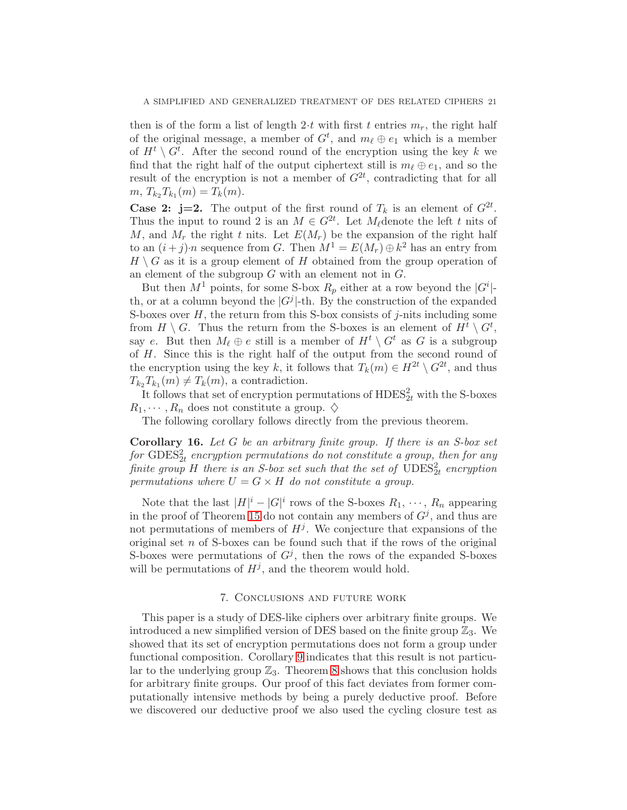then is of the form a list of length 2·t with first t entries  $m_r$ , the right half of the original message, a member of  $G<sup>t</sup>$ , and  $m<sub>\ell</sub> \oplus e<sub>1</sub>$  which is a member of  $H^t \setminus G^t$ . After the second round of the encryption using the key k we find that the right half of the output ciphertext still is  $m_\ell \oplus e_1$ , and so the result of the encryption is not a member of  $G^{2t}$ , contradicting that for all  $m, T_{k_2}T_{k_1}(m) = T_k(m).$ 

**Case 2: j=2.** The output of the first round of  $T_k$  is an element of  $G^{2t}$ . Thus the input to round 2 is an  $M \in G^{2t}$ . Let  $M_{\ell}$  denote the left t nits of M, and  $M_r$  the right t nits. Let  $E(M_r)$  be the expansion of the right half to an  $(i + j) \cdot n$  sequence from G. Then  $M^1 = E(M_r) \oplus k^2$  has an entry from  $H \setminus G$  as it is a group element of H obtained from the group operation of an element of the subgroup G with an element not in G.

But then  $M^1$  points, for some S-box  $R_p$  either at a row beyond the  $|G^i|$ th, or at a column beyond the  $|G^j|$ -th. By the construction of the expanded S-boxes over  $H$ , the return from this S-box consists of j-nits including some from  $H \setminus G$ . Thus the return from the S-boxes is an element of  $H^t \setminus G^t$ , say e. But then  $M_{\ell} \oplus e$  still is a member of  $H^t \setminus G^t$  as G is a subgroup of H. Since this is the right half of the output from the second round of the encryption using the key k, it follows that  $T_k(m) \in H^{2t} \setminus G^{2t}$ , and thus  $T_{k_2}T_{k_1}(m) \neq T_k(m)$ , a contradiction.

It follows that set of encryption permutations of  $HDES_{2t}^2$  with the S-boxes  $R_1, \dots, R_n$  does not constitute a group.  $\diamondsuit$ 

The following corollary follows directly from the previous theorem.

**Corollary 16.** Let G be an arbitrary finite group. If there is an S-box set for  $\text{GDES}_{2t}^2$  encryption permutations do not constitute a group, then for any finite group H there is an S-box set such that the set of  $\mathrm{UDES}^2_{2t}$  encryption permutations where  $U = G \times H$  do not constitute a group.

Note that the last  $|H|^i - |G|^i$  rows of the S-boxes  $R_1, \dots, R_n$  appearing in the proof of Theorem [15](#page-18-1) do not contain any members of  $G<sup>j</sup>$ , and thus are not permutations of members of  $H^j$ . We conjecture that expansions of the original set n of S-boxes can be found such that if the rows of the original S-boxes were permutations of  $G<sup>j</sup>$ , then the rows of the expanded S-boxes will be permutations of  $H^j$ , and the theorem would hold.

# 7. Conclusions and future work

This paper is a study of DES-like ciphers over arbitrary finite groups. We introduced a new simplified version of DES based on the finite group  $\mathbb{Z}_3$ . We showed that its set of encryption permutations does not form a group under functional composition. Corollary [9](#page-16-0) indicates that this result is not particular to the underlying group  $\mathbb{Z}_3$ . Theorem [8](#page-16-1) shows that this conclusion holds for arbitrary finite groups. Our proof of this fact deviates from former computationally intensive methods by being a purely deductive proof. Before we discovered our deductive proof we also used the cycling closure test as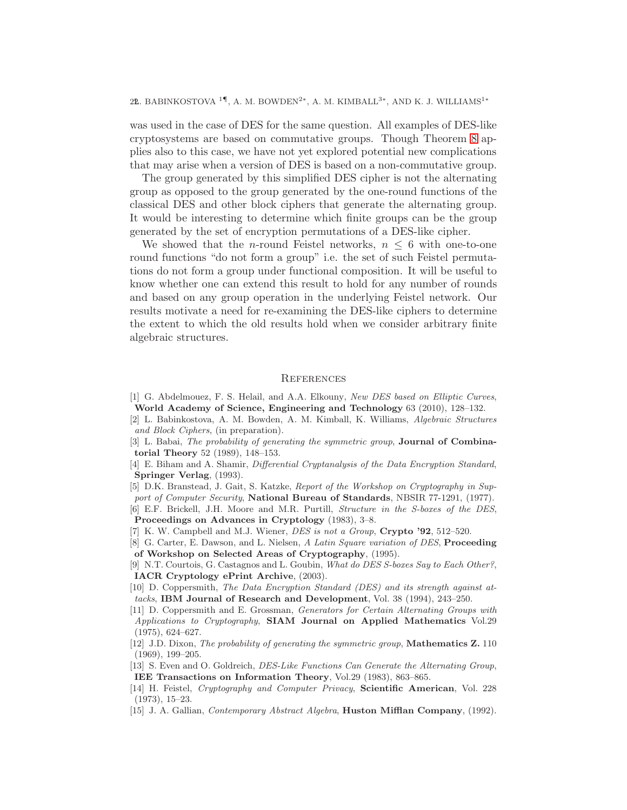22. BABINKOSTOVA $^{1\P},$ A. M. BOWDEN<sup>2</sup>\*, A. M. KIMBALL<sup>3</sup>\*, AND K. J. WILLIAMS<sup>1</sup>\*

was used in the case of DES for the same question. All examples of DES-like cryptosystems are based on commutative groups. Though Theorem [8](#page-16-1) applies also to this case, we have not yet explored potential new complications that may arise when a version of DES is based on a non-commutative group.

The group generated by this simplified DES cipher is not the alternating group as opposed to the group generated by the one-round functions of the classical DES and other block ciphers that generate the alternating group. It would be interesting to determine which finite groups can be the group generated by the set of encryption permutations of a DES-like cipher.

We showed that the *n*-round Feistel networks,  $n \leq 6$  with one-to-one round functions "do not form a group" i.e. the set of such Feistel permutations do not form a group under functional composition. It will be useful to know whether one can extend this result to hold for any number of rounds and based on any group operation in the underlying Feistel network. Our results motivate a need for re-examining the DES-like ciphers to determine the extent to which the old results hold when we consider arbitrary finite algebraic structures.

## **REFERENCES**

- <span id="page-21-9"></span>[1] G. Abdelmouez, F. S. Helail, and A.A. Elkouny, New DES based on Elliptic Curves, World Academy of Science, Engineering and Technology 63 (2010), 128–132.
- <span id="page-21-8"></span>[2] L. Babinkostova, A. M. Bowden, A. M. Kimball, K. Williams, Algebraic Structures and Block Ciphers, (in preparation).
- <span id="page-21-13"></span>[3] L. Babai, The probability of generating the symmetric group, **Journal of Combina**torial Theory 52 (1989), 148–153.
- <span id="page-21-2"></span>[4] E. Biham and A. Shamir, Differential Cryptanalysis of the Data Encryption Standard, Springer Verlag, (1993).
- <span id="page-21-10"></span>[5] D.K. Branstead, J. Gait, S. Katzke, Report of the Workshop on Cryptography in Support of Computer Security, National Bureau of Standards, NBSIR 77-1291, (1977).
- <span id="page-21-11"></span>[6] E.F. Brickell, J.H. Moore and M.R. Purtill, Structure in the S-boxes of the DES, Proceedings on Advances in Cryptology (1983), 3–8.
- <span id="page-21-3"></span><span id="page-21-1"></span>[7] K. W. Campbell and M.J. Wiener,  $DES$  is not a Group, Crypto '92, 512–520.
- [8] G. Carter, E. Dawson, and L. Nielsen, A Latin Square variation of DES, **Proceeding** of Workshop on Selected Areas of Cryptography, (1995).
- <span id="page-21-12"></span>[9] N.T. Courtois, G. Castagnos and L. Goubin, What do DES S-boxes Say to Each Other?, IACR Cryptology ePrint Archive, (2003).
- <span id="page-21-7"></span>[10] D. Coppersmith, The Data Encryption Standard (DES) and its strength against attacks, IBM Journal of Research and Development, Vol. 38 (1994), 243–250.
- <span id="page-21-5"></span>[11] D. Coppersmith and E. Grossman, Generators for Certain Alternating Groups with Applications to Cryptography, SIAM Journal on Applied Mathematics Vol.29 (1975), 624–627.
- <span id="page-21-14"></span>[12] J.D. Dixon, The probability of generating the symmetric group, Mathematics Z. 110 (1969), 199–205.
- <span id="page-21-6"></span>[13] S. Even and O. Goldreich, DES-Like Functions Can Generate the Alternating Group, IEE Transactions on Information Theory, Vol.29 (1983), 863–865.
- <span id="page-21-0"></span>[14] H. Feistel, Cryptography and Computer Privacy, Scientific American, Vol. 228 (1973), 15–23.
- <span id="page-21-4"></span>[15] J. A. Gallian, Contemporary Abstract Algebra, Huston Mifflan Company, (1992).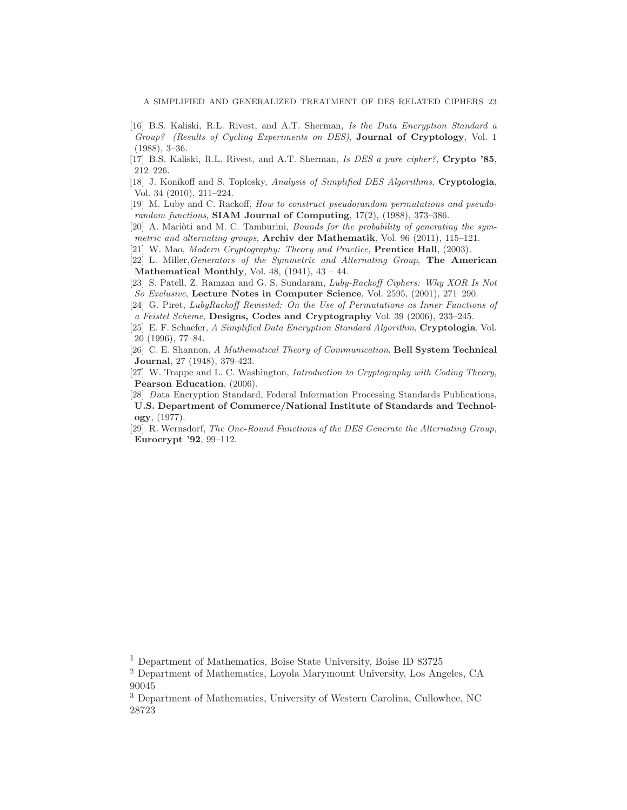- <span id="page-22-7"></span>[16] B.S. Kaliski, R.L. Rivest, and A.T. Sherman, Is the Data Encryption Standard a Group? (Results of Cycling Experiments on DES), **Journal of Cryptology**, Vol. 1 (1988), 3–36.
- <span id="page-22-6"></span>[17] B.S. Kaliski, R.L. Rivest, and A.T. Sherman, Is DES a pure cipher?, Crypto '85, 212–226.
- [18] J. Konikoff and S. Toplosky, Analysis of Simplified DES Algorithms, Cryptologia, Vol. 34 (2010), 211–224.
- <span id="page-22-9"></span>[19] M. Luby and C. Rackoff, How to construct pseudorandom permutations and pseudorandom functions, **SIAM Journal of Computing**,  $17(2)$ ,  $(1988)$ ,  $373-386$ .
- <span id="page-22-11"></span> $[20]$  A. Marioti and M. C. Tamburini, *Bounds for the probability of generating the sym*metric and alternating groups, **Archiv der Mathematik**, Vol. 96 (2011), 115–121.
- <span id="page-22-0"></span>[21] W. Mao, Modern Cryptography: Theory and Practice, Prentice Hall, (2003).
- <span id="page-22-2"></span>[22] L. Miller,Generators of the Symmetric and Alternating Group, The American Mathematical Monthly, Vol. 48,  $(1941)$ ,  $43 - 44$ .
- [23] S. Patell, Z. Ramzan and G. S. Sundaram, Luby-Rackoff Ciphers: Why XOR Is Not So Exclusive, Lecture Notes in Computer Science, Vol. 2595, (2001), 271–290.
- <span id="page-22-10"></span>[24] G. Piret, LubyRackoff Revisited: On the Use of Permutations as Inner Functions of a Feistel Scheme, Designs, Codes and Cryptography Vol. 39 (2006), 233–245.
- <span id="page-22-4"></span>[25] E. F. Schaefer, A Simplified Data Encryption Standard Algorithm, Cryptologia, Vol. 20 (1996), 77–84.
- <span id="page-22-8"></span>[26] C. E. Shannon, A Mathematical Theory of Communication, Bell System Technical Journal, 27 (1948), 379-423.
- <span id="page-22-5"></span>[27] W. Trappe and L. C. Washington, Introduction to Cryptography with Coding Theory, Pearson Education, (2006).
- <span id="page-22-1"></span>[28] Data Encryption Standard, Federal Information Processing Standards Publications, U.S. Department of Commerce/National Institute of Standards and Technology, (1977).
- <span id="page-22-3"></span>[29] R. Wernsdorf, The One-Round Functions of the DES Generate the Alternating Group, Eurocrypt '92, 99–112.

<sup>1</sup> Department of Mathematics, Boise State University, Boise ID 83725

<sup>2</sup> Department of Mathematics, Loyola Marymount University, Los Angeles, CA 90045

<sup>3</sup> Department of Mathematics, University of Western Carolina, Cullowhee, NC 28723